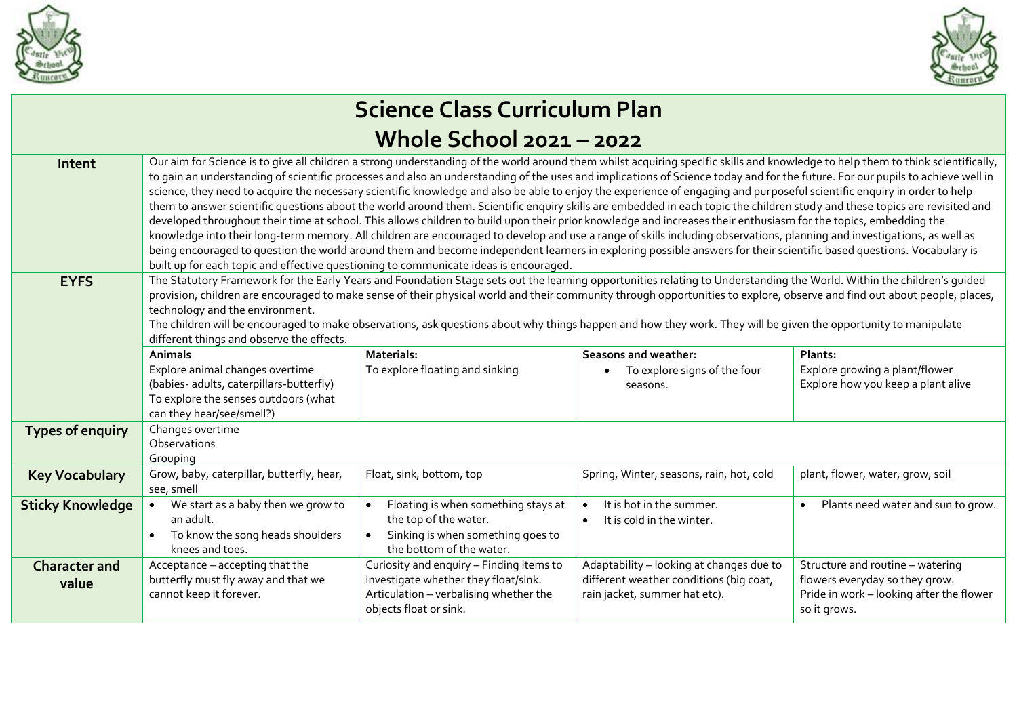



## **Science Class Curriculum Plan Whole School 2021 – 2022**

| Intent                        | Our aim for Science is to give all children a strong understanding of the world around them whilst acquiring specific skills and knowledge to help them to think scientifically,<br>to gain an understanding of scientific processes and also an understanding of the uses and implications of Science today and for the future. For our pupils to achieve well in<br>science, they need to acquire the necessary scientific knowledge and also be able to enjoy the experience of engaging and purposeful scientific enquiry in order to help<br>them to answer scientific questions about the world around them. Scientific enquiry skills are embedded in each topic the children study and these topics are revisited and<br>developed throughout their time at school. This allows children to build upon their prior knowledge and increases their enthusiasm for the topics, embedding the<br>knowledge into their long-term memory. All children are encouraged to develop and use a range of skills including observations, planning and investigations, as well as<br>being encouraged to question the world around them and become independent learners in exploring possible answers for their scientific based questions. Vocabulary is<br>built up for each topic and effective questioning to communicate ideas is encouraged. |                                                                                                                                                      |                                                                                                                      |                                                                                                                                |  |  |  |  |
|-------------------------------|-----------------------------------------------------------------------------------------------------------------------------------------------------------------------------------------------------------------------------------------------------------------------------------------------------------------------------------------------------------------------------------------------------------------------------------------------------------------------------------------------------------------------------------------------------------------------------------------------------------------------------------------------------------------------------------------------------------------------------------------------------------------------------------------------------------------------------------------------------------------------------------------------------------------------------------------------------------------------------------------------------------------------------------------------------------------------------------------------------------------------------------------------------------------------------------------------------------------------------------------------------------------------------------------------------------------------------------------------|------------------------------------------------------------------------------------------------------------------------------------------------------|----------------------------------------------------------------------------------------------------------------------|--------------------------------------------------------------------------------------------------------------------------------|--|--|--|--|
| <b>EYFS</b>                   | The Statutory Framework for the Early Years and Foundation Stage sets out the learning opportunities relating to Understanding the World. Within the children's guided<br>provision, children are encouraged to make sense of their physical world and their community through opportunities to explore, observe and find out about people, places,<br>technology and the environment.<br>The children will be encouraged to make observations, ask questions about why things happen and how they work. They will be given the opportunity to manipulate<br>different things and observe the effects.                                                                                                                                                                                                                                                                                                                                                                                                                                                                                                                                                                                                                                                                                                                                        |                                                                                                                                                      |                                                                                                                      |                                                                                                                                |  |  |  |  |
|                               | <b>Animals</b><br>Explore animal changes overtime                                                                                                                                                                                                                                                                                                                                                                                                                                                                                                                                                                                                                                                                                                                                                                                                                                                                                                                                                                                                                                                                                                                                                                                                                                                                                             | Materials:<br>To explore floating and sinking                                                                                                        | Seasons and weather:<br>To explore signs of the four                                                                 | Plants:<br>Explore growing a plant/flower                                                                                      |  |  |  |  |
|                               | (babies- adults, caterpillars-butterfly)<br>To explore the senses outdoors (what<br>can they hear/see/smell?)                                                                                                                                                                                                                                                                                                                                                                                                                                                                                                                                                                                                                                                                                                                                                                                                                                                                                                                                                                                                                                                                                                                                                                                                                                 |                                                                                                                                                      | seasons.                                                                                                             | Explore how you keep a plant alive                                                                                             |  |  |  |  |
| <b>Types of enquiry</b>       | Changes overtime<br>Observations<br>Grouping                                                                                                                                                                                                                                                                                                                                                                                                                                                                                                                                                                                                                                                                                                                                                                                                                                                                                                                                                                                                                                                                                                                                                                                                                                                                                                  |                                                                                                                                                      |                                                                                                                      |                                                                                                                                |  |  |  |  |
| <b>Key Vocabulary</b>         | Grow, baby, caterpillar, butterfly, hear,<br>see, smell                                                                                                                                                                                                                                                                                                                                                                                                                                                                                                                                                                                                                                                                                                                                                                                                                                                                                                                                                                                                                                                                                                                                                                                                                                                                                       | Float, sink, bottom, top                                                                                                                             | Spring, Winter, seasons, rain, hot, cold                                                                             | plant, flower, water, grow, soil                                                                                               |  |  |  |  |
| <b>Sticky Knowledge</b>       | We start as a baby then we grow to<br>an adult.<br>To know the song heads shoulders<br>knees and toes.                                                                                                                                                                                                                                                                                                                                                                                                                                                                                                                                                                                                                                                                                                                                                                                                                                                                                                                                                                                                                                                                                                                                                                                                                                        | Floating is when something stays at<br>the top of the water.<br>Sinking is when something goes to<br>the bottom of the water.                        | It is hot in the summer.<br>$\bullet$<br>It is cold in the winter.<br>$\bullet$                                      | Plants need water and sun to grow.<br>$\bullet$                                                                                |  |  |  |  |
| <b>Character and</b><br>value | Acceptance - accepting that the<br>butterfly must fly away and that we<br>cannot keep it forever.                                                                                                                                                                                                                                                                                                                                                                                                                                                                                                                                                                                                                                                                                                                                                                                                                                                                                                                                                                                                                                                                                                                                                                                                                                             | Curiosity and enquiry - Finding items to<br>investigate whether they float/sink.<br>Articulation - verbalising whether the<br>objects float or sink. | Adaptability - looking at changes due to<br>different weather conditions (big coat,<br>rain jacket, summer hat etc). | Structure and routine - watering<br>flowers everyday so they grow.<br>Pride in work - looking after the flower<br>so it grows. |  |  |  |  |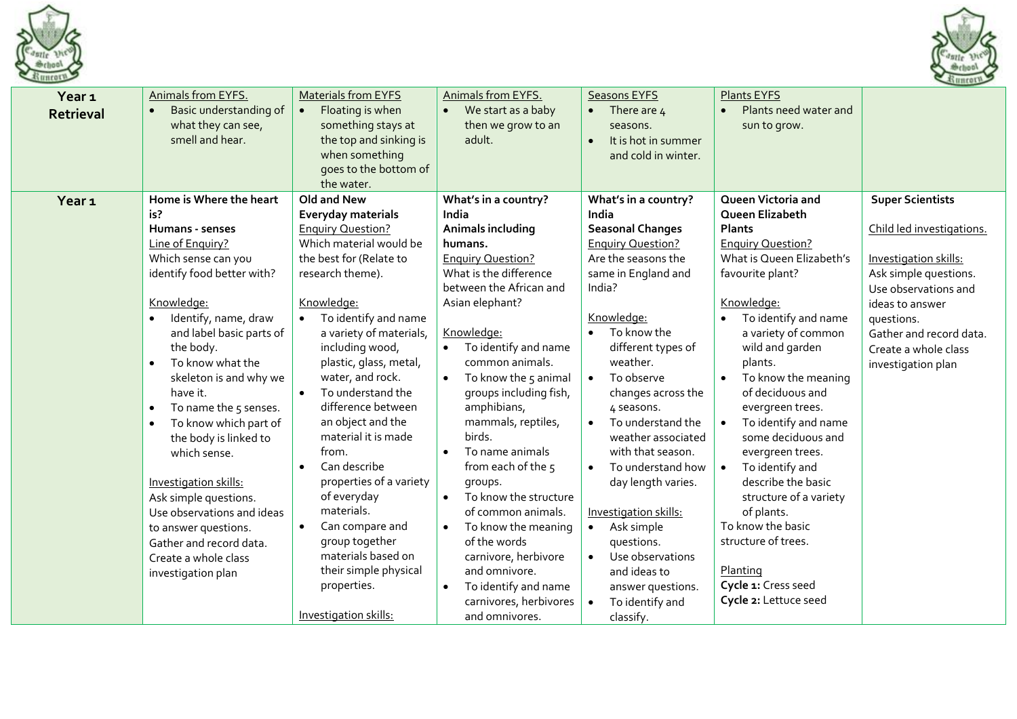



| Year <sub>1</sub><br><b>Retrieval</b> | Animals from EYFS.<br>Basic understanding of<br>what they can see,<br>smell and hear.                                                                                                                                                                                                                                                                                                                                                                                                                         | <b>Materials from EYFS</b><br>Floating is when<br>$\bullet$<br>something stays at<br>the top and sinking is<br>when something<br>goes to the bottom of<br>the water.                                                                                                                                                                                                                                                                                                                                        | Animals from EYFS.<br>We start as a baby<br>$\bullet$<br>then we grow to an<br>adult.                                                                                                                                                                                                                                                                                                                                                                                                                                  | <b>Seasons EYFS</b><br>There are 4<br>$\bullet$<br>seasons.<br>It is hot in summer<br>$\bullet$<br>and cold in winter.                                                                                                                                                                                                                                                                                                                                              | Plants EYFS<br>Plants need water and<br>$\bullet$<br>sun to grow.                                                                                                                                                                                                                                                                                                                                                                                                           |                                                                                                                                                                                                                                          |
|---------------------------------------|---------------------------------------------------------------------------------------------------------------------------------------------------------------------------------------------------------------------------------------------------------------------------------------------------------------------------------------------------------------------------------------------------------------------------------------------------------------------------------------------------------------|-------------------------------------------------------------------------------------------------------------------------------------------------------------------------------------------------------------------------------------------------------------------------------------------------------------------------------------------------------------------------------------------------------------------------------------------------------------------------------------------------------------|------------------------------------------------------------------------------------------------------------------------------------------------------------------------------------------------------------------------------------------------------------------------------------------------------------------------------------------------------------------------------------------------------------------------------------------------------------------------------------------------------------------------|---------------------------------------------------------------------------------------------------------------------------------------------------------------------------------------------------------------------------------------------------------------------------------------------------------------------------------------------------------------------------------------------------------------------------------------------------------------------|-----------------------------------------------------------------------------------------------------------------------------------------------------------------------------------------------------------------------------------------------------------------------------------------------------------------------------------------------------------------------------------------------------------------------------------------------------------------------------|------------------------------------------------------------------------------------------------------------------------------------------------------------------------------------------------------------------------------------------|
| Year <sub>1</sub>                     | Home is Where the heart<br>is?<br>Humans - senses<br>Line of Enquiry?<br>Which sense can you<br>identify food better with?<br>Knowledge:<br>Identify, name, draw<br>and label basic parts of<br>the body.<br>To know what the<br>$\bullet$<br>skeleton is and why we<br>have it.<br>To name the 5 senses.<br>$\bullet$<br>To know which part of<br>$\bullet$<br>the body is linked to<br>which sense.<br>Investigation skills:<br>Ask simple questions.<br>Use observations and ideas<br>to answer questions. | Old and New<br>Everyday materials<br><b>Enquiry Question?</b><br>Which material would be<br>the best for (Relate to<br>research theme).<br>Knowledge:<br>To identify and name<br>a variety of materials,<br>including wood,<br>plastic, glass, metal,<br>water, and rock.<br>To understand the<br>$\bullet$<br>difference between<br>an object and the<br>material it is made<br>from.<br>Can describe<br>$\bullet$<br>properties of a variety<br>of everyday<br>materials.<br>Can compare and<br>$\bullet$ | What's in a country?<br>India<br>Animals including<br>humans.<br><b>Enquiry Question?</b><br>What is the difference<br>between the African and<br>Asian elephant?<br>Knowledge:<br>To identify and name<br>$\bullet$<br>common animals.<br>To know the 5 animal<br>$\bullet$<br>groups including fish,<br>amphibians,<br>mammals, reptiles,<br>birds.<br>To name animals<br>$\bullet$<br>from each of the 5<br>groups.<br>To know the structure<br>$\bullet$<br>of common animals.<br>To know the meaning<br>$\bullet$ | What's in a country?<br>India<br><b>Seasonal Changes</b><br><b>Enquiry Question?</b><br>Are the seasons the<br>same in England and<br>India?<br>Knowledge:<br>To know the<br>different types of<br>weather.<br>To observe<br>$\bullet$<br>changes across the<br>4 seasons.<br>To understand the<br>$\bullet$<br>weather associated<br>with that season.<br>To understand how<br>$\bullet$<br>day length varies.<br>Investigation skills:<br>Ask simple<br>$\bullet$ | Queen Victoria and<br>Queen Elizabeth<br>Plants<br><b>Enquiry Question?</b><br>What is Queen Elizabeth's<br>favourite plant?<br>Knowledge:<br>To identify and name<br>a variety of common<br>wild and garden<br>plants.<br>To know the meaning<br>of deciduous and<br>evergreen trees.<br>To identify and name<br>some deciduous and<br>evergreen trees.<br>To identify and<br>$\bullet$<br>describe the basic<br>structure of a variety<br>of plants.<br>To know the basic | <b>Super Scientists</b><br>Child led investigations.<br>Investigation skills:<br>Ask simple questions.<br>Use observations and<br>ideas to answer<br>questions.<br>Gather and record data.<br>Create a whole class<br>investigation plan |
|                                       | Gather and record data.<br>Create a whole class<br>investigation plan                                                                                                                                                                                                                                                                                                                                                                                                                                         | group together<br>materials based on<br>their simple physical<br>properties.<br>Investigation skills:                                                                                                                                                                                                                                                                                                                                                                                                       | of the words<br>carnivore, herbivore<br>and omnivore.<br>To identify and name<br>$\bullet$<br>carnivores, herbivores<br>and omnivores.                                                                                                                                                                                                                                                                                                                                                                                 | questions.<br>Use observations<br>$\bullet$<br>and ideas to<br>answer questions.<br>To identify and<br>classify.                                                                                                                                                                                                                                                                                                                                                    | structure of trees.<br>Planting<br>Cycle 1: Cress seed<br>Cycle 2: Lettuce seed                                                                                                                                                                                                                                                                                                                                                                                             |                                                                                                                                                                                                                                          |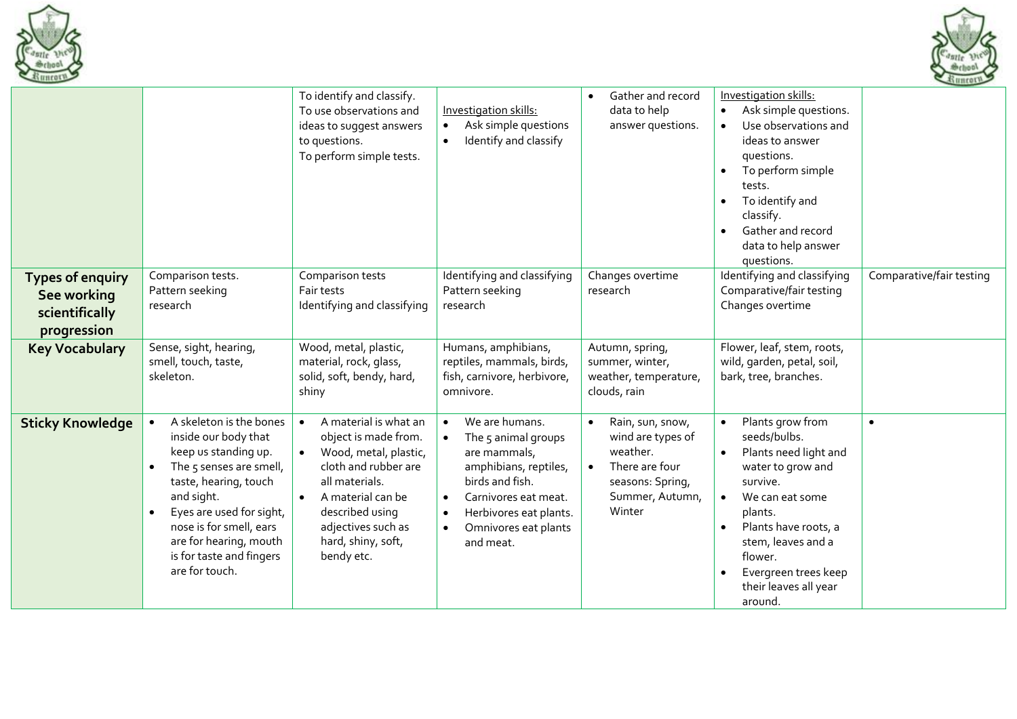



|                                                                         |                                                                                                                                                                                                                                                                          | To identify and classify.<br>To use observations and<br>ideas to suggest answers<br>to questions.<br>To perform simple tests.                                                                                                   | <b>Investigation skills:</b><br>Ask simple questions<br>$\bullet$<br>Identify and classify<br>$\bullet$                                                                                                                                                   | Gather and record<br>data to help<br>answer questions.                                                                            | Investigation skills:<br>Ask simple questions.<br>Use observations and<br>ideas to answer<br>questions.<br>To perform simple<br>$\bullet$<br>tests.<br>To identify and<br>classify.<br>Gather and record<br>data to help answer<br>questions.                           |                          |
|-------------------------------------------------------------------------|--------------------------------------------------------------------------------------------------------------------------------------------------------------------------------------------------------------------------------------------------------------------------|---------------------------------------------------------------------------------------------------------------------------------------------------------------------------------------------------------------------------------|-----------------------------------------------------------------------------------------------------------------------------------------------------------------------------------------------------------------------------------------------------------|-----------------------------------------------------------------------------------------------------------------------------------|-------------------------------------------------------------------------------------------------------------------------------------------------------------------------------------------------------------------------------------------------------------------------|--------------------------|
| <b>Types of enquiry</b><br>See working<br>scientifically<br>progression | Comparison tests.<br>Pattern seeking<br>research                                                                                                                                                                                                                         | Comparison tests<br>Fair tests<br>Identifying and classifying                                                                                                                                                                   | Identifying and classifying<br>Pattern seeking<br>research                                                                                                                                                                                                | Changes overtime<br>research                                                                                                      | Identifying and classifying<br>Comparative/fair testing<br>Changes overtime                                                                                                                                                                                             | Comparative/fair testing |
| <b>Key Vocabulary</b>                                                   | Sense, sight, hearing,<br>smell, touch, taste,<br>skeleton.                                                                                                                                                                                                              | Wood, metal, plastic,<br>material, rock, glass,<br>solid, soft, bendy, hard,<br>shiny                                                                                                                                           | Humans, amphibians,<br>reptiles, mammals, birds,<br>fish, carnivore, herbivore,<br>omnivore.                                                                                                                                                              | Autumn, spring,<br>summer, winter,<br>weather, temperature,<br>clouds, rain                                                       | Flower, leaf, stem, roots,<br>wild, garden, petal, soil,<br>bark, tree, branches.                                                                                                                                                                                       |                          |
| <b>Sticky Knowledge</b>                                                 | A skeleton is the bones<br>inside our body that<br>keep us standing up.<br>The 5 senses are smell,<br>taste, hearing, touch<br>and sight.<br>Eyes are used for sight,<br>nose is for smell, ears<br>are for hearing, mouth<br>is for taste and fingers<br>are for touch. | A material is what an<br>object is made from.<br>Wood, metal, plastic,<br>$\bullet$<br>cloth and rubber are<br>all materials.<br>A material can be<br>described using<br>adjectives such as<br>hard, shiny, soft,<br>bendy etc. | We are humans.<br>$\bullet$<br>The 5 animal groups<br>$\bullet$<br>are mammals,<br>amphibians, reptiles,<br>birds and fish.<br>Carnivores eat meat.<br>$\bullet$<br>Herbivores eat plants.<br>$\bullet$<br>Omnivores eat plants<br>$\bullet$<br>and meat. | Rain, sun, snow,<br>wind are types of<br>weather.<br>There are four<br>$\bullet$<br>seasons: Spring,<br>Summer, Autumn,<br>Winter | Plants grow from<br>seeds/bulbs.<br>Plants need light and<br>$\bullet$<br>water to grow and<br>survive.<br>We can eat some<br>$\bullet$<br>plants.<br>Plants have roots, a<br>stem, leaves and a<br>flower.<br>Evergreen trees keep<br>their leaves all year<br>around. | $\bullet$                |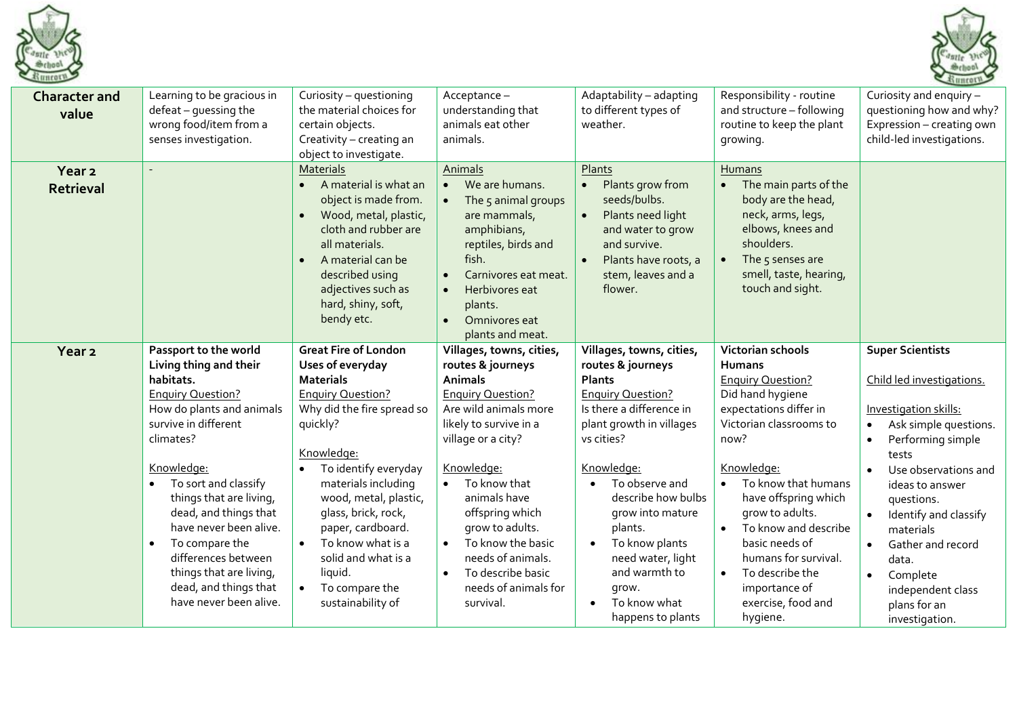



| <b>Character and</b><br>value         | Learning to be gracious in<br>defeat - quessing the<br>wrong food/item from a<br>senses investigation.                                                                                                                                                                                                                                                                                                                          | Curiosity - questioning<br>the material choices for<br>certain objects.<br>Creativity - creating an<br>object to investigate.                                                                                                                                                                                                                                             | Acceptance-<br>understanding that<br>animals eat other<br>animals.                                                                                                                                                                                                                                                                                                        | Adaptability - adapting<br>to different types of<br>weather.                                                                                                                                                                                                                                                                                                | Responsibility - routine<br>and structure - following<br>routine to keep the plant<br>growing.                                                                                                                                                                                                                                                                                                    | Curiosity and enquiry -<br>questioning how and why?<br>Expression - creating own<br>child-led investigations.                                                                                                                                                                                                                                                                                                |
|---------------------------------------|---------------------------------------------------------------------------------------------------------------------------------------------------------------------------------------------------------------------------------------------------------------------------------------------------------------------------------------------------------------------------------------------------------------------------------|---------------------------------------------------------------------------------------------------------------------------------------------------------------------------------------------------------------------------------------------------------------------------------------------------------------------------------------------------------------------------|---------------------------------------------------------------------------------------------------------------------------------------------------------------------------------------------------------------------------------------------------------------------------------------------------------------------------------------------------------------------------|-------------------------------------------------------------------------------------------------------------------------------------------------------------------------------------------------------------------------------------------------------------------------------------------------------------------------------------------------------------|---------------------------------------------------------------------------------------------------------------------------------------------------------------------------------------------------------------------------------------------------------------------------------------------------------------------------------------------------------------------------------------------------|--------------------------------------------------------------------------------------------------------------------------------------------------------------------------------------------------------------------------------------------------------------------------------------------------------------------------------------------------------------------------------------------------------------|
| Year <sub>2</sub><br><b>Retrieval</b> |                                                                                                                                                                                                                                                                                                                                                                                                                                 | <b>Materials</b><br>A material is what an<br>$\bullet$<br>object is made from.<br>Wood, metal, plastic,<br>cloth and rubber are<br>all materials.<br>A material can be<br>$\bullet$<br>described using<br>adjectives such as<br>hard, shiny, soft,<br>bendy etc.                                                                                                          | Animals<br>We are humans.<br>$\bullet$<br>The 5 animal groups<br>are mammals,<br>amphibians,<br>reptiles, birds and<br>fish.<br>Carnivores eat meat.<br>$\bullet$<br>Herbivores eat<br>$\bullet$<br>plants.<br>Omnivores eat<br>$\bullet$<br>plants and meat.                                                                                                             | Plants<br>Plants grow from<br>seeds/bulbs.<br>Plants need light<br>and water to grow<br>and survive.<br>Plants have roots, a<br>stem, leaves and a<br>flower.                                                                                                                                                                                               | Humans<br>The main parts of the<br>body are the head,<br>neck, arms, legs,<br>elbows, knees and<br>shoulders.<br>The 5 senses are<br>smell, taste, hearing,<br>touch and sight.                                                                                                                                                                                                                   |                                                                                                                                                                                                                                                                                                                                                                                                              |
| Year <sub>2</sub>                     | Passport to the world<br>Living thing and their<br>habitats.<br><b>Enquiry Question?</b><br>How do plants and animals<br>survive in different<br>climates?<br>Knowledge:<br>To sort and classify<br>$\bullet$<br>things that are living,<br>dead, and things that<br>have never been alive.<br>To compare the<br>$\bullet$<br>differences between<br>things that are living,<br>dead, and things that<br>have never been alive. | <b>Great Fire of London</b><br>Uses of everyday<br><b>Materials</b><br><b>Enquiry Question?</b><br>Why did the fire spread so<br>quickly?<br>Knowledge:<br>To identify everyday<br>materials including<br>wood, metal, plastic,<br>glass, brick, rock,<br>paper, cardboard.<br>To know what is a<br>solid and what is a<br>liquid.<br>To compare the<br>sustainability of | Villages, towns, cities,<br>routes & journeys<br><b>Animals</b><br><b>Enquiry Question?</b><br>Are wild animals more<br>likely to survive in a<br>village or a city?<br>Knowledge:<br>To know that<br>animals have<br>offspring which<br>grow to adults.<br>To know the basic<br>$\bullet$<br>needs of animals.<br>To describe basic<br>needs of animals for<br>survival. | Villages, towns, cities,<br>routes & journeys<br><b>Plants</b><br><b>Enquiry Question?</b><br>Is there a difference in<br>plant growth in villages<br>vs cities?<br>Knowledge:<br>To observe and<br>describe how bulbs<br>grow into mature<br>plants.<br>To know plants<br>need water, light<br>and warmth to<br>grow.<br>To know what<br>happens to plants | Victorian schools<br><b>Humans</b><br><b>Enquiry Question?</b><br>Did hand hygiene<br>expectations differ in<br>Victorian classrooms to<br>now?<br>Knowledge:<br>To know that humans<br>have offspring which<br>grow to adults.<br>To know and describe<br>$\bullet$<br>basic needs of<br>humans for survival.<br>To describe the<br>$\bullet$<br>importance of<br>exercise, food and<br>hygiene. | <b>Super Scientists</b><br>Child led investigations.<br><b>Investigation skills:</b><br>Ask simple questions.<br>$\bullet$<br>Performing simple<br>$\bullet$<br>tests<br>Use observations and<br>$\bullet$<br>ideas to answer<br>questions.<br>Identify and classify<br>materials<br>Gather and record<br>$\bullet$<br>data.<br>Complete<br>$\bullet$<br>independent class<br>plans for an<br>investigation. |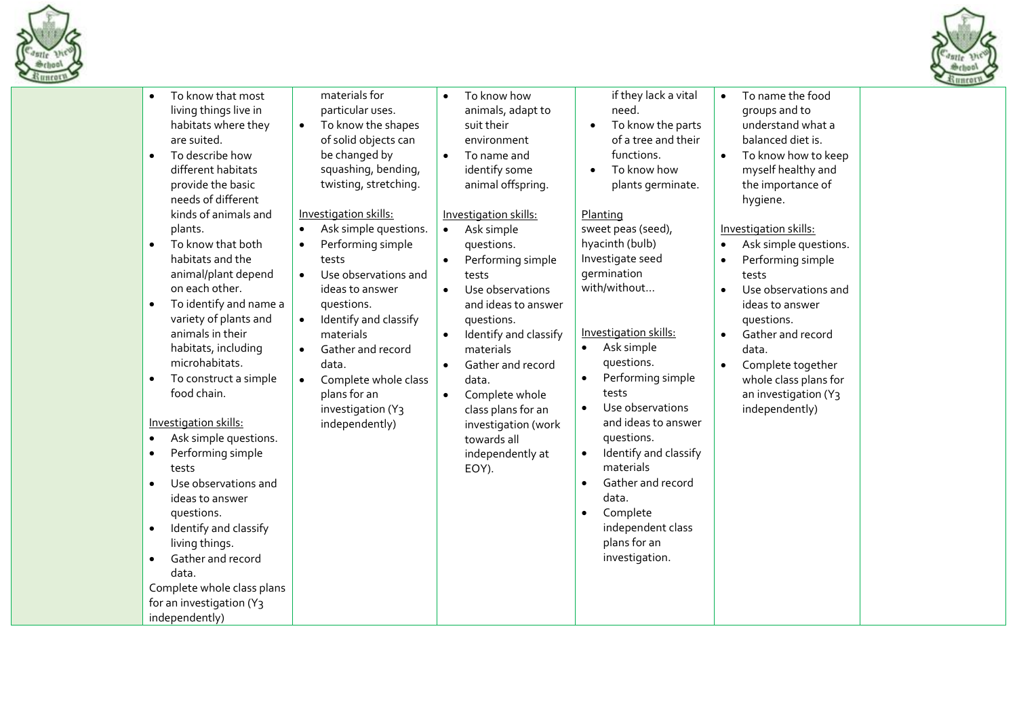



|                                                                                                                                                                                                                                                                                                                                                                                                                                                                                                                                                                                                                                                                                                                                                                                                                                                                                   |                                                                                                                                                                                                                                                                                                                                                                                                                                                                                                               |                                                                                                                                                                                                                                                                                                                                                                                                                                                                                                                             |                                                                                                                                                                                                                                                                                                                                                                                                                                                                                                                                                               |                                                                                                                                                                                                                                                                                                                                                                                                                                                                                                                     | $\mathcal{L}_{\text{Rinter}}$ |
|-----------------------------------------------------------------------------------------------------------------------------------------------------------------------------------------------------------------------------------------------------------------------------------------------------------------------------------------------------------------------------------------------------------------------------------------------------------------------------------------------------------------------------------------------------------------------------------------------------------------------------------------------------------------------------------------------------------------------------------------------------------------------------------------------------------------------------------------------------------------------------------|---------------------------------------------------------------------------------------------------------------------------------------------------------------------------------------------------------------------------------------------------------------------------------------------------------------------------------------------------------------------------------------------------------------------------------------------------------------------------------------------------------------|-----------------------------------------------------------------------------------------------------------------------------------------------------------------------------------------------------------------------------------------------------------------------------------------------------------------------------------------------------------------------------------------------------------------------------------------------------------------------------------------------------------------------------|---------------------------------------------------------------------------------------------------------------------------------------------------------------------------------------------------------------------------------------------------------------------------------------------------------------------------------------------------------------------------------------------------------------------------------------------------------------------------------------------------------------------------------------------------------------|---------------------------------------------------------------------------------------------------------------------------------------------------------------------------------------------------------------------------------------------------------------------------------------------------------------------------------------------------------------------------------------------------------------------------------------------------------------------------------------------------------------------|-------------------------------|
| To know that most<br>$\bullet$<br>living things live in<br>habitats where they<br>are suited.<br>To describe how<br>$\bullet$<br>different habitats<br>provide the basic<br>needs of different<br>kinds of animals and<br>plants.<br>To know that both<br>$\bullet$<br>habitats and the<br>animal/plant depend<br>on each other.<br>To identify and name a<br>$\bullet$<br>variety of plants and<br>animals in their<br>habitats, including<br>microhabitats.<br>To construct a simple<br>$\bullet$<br>food chain.<br>Investigation skills:<br>Ask simple questions.<br>$\bullet$<br>Performing simple<br>$\bullet$<br>tests<br>Use observations and<br>$\bullet$<br>ideas to answer<br>questions.<br>Identify and classify<br>$\bullet$<br>living things.<br>Gather and record<br>$\bullet$<br>data.<br>Complete whole class plans<br>for an investigation (Y3<br>independently) | materials for<br>particular uses.<br>To know the shapes<br>$\bullet$<br>of solid objects can<br>be changed by<br>squashing, bending,<br>twisting, stretching.<br>Investigation skills:<br>Ask simple questions.<br>$\bullet$<br>Performing simple<br>tests<br>Use observations and<br>$\bullet$<br>ideas to answer<br>questions.<br>Identify and classify<br>$\bullet$<br>materials<br>Gather and record<br>$\bullet$<br>data.<br>Complete whole class<br>plans for an<br>investigation (Y3<br>independently) | To know how<br>$\bullet$<br>animals, adapt to<br>suit their<br>environment<br>To name and<br>$\bullet$<br>identify some<br>animal offspring.<br>Investigation skills:<br>Ask simple<br>$\bullet$<br>questions.<br>Performing simple<br>$\bullet$<br>tests<br>Use observations<br>$\bullet$<br>and ideas to answer<br>questions.<br>Identify and classify<br>materials<br>Gather and record<br>data.<br>Complete whole<br>$\bullet$<br>class plans for an<br>investigation (work<br>towards all<br>independently at<br>EOY). | if they lack a vital<br>need.<br>To know the parts<br>of a tree and their<br>functions.<br>To know how<br>$\bullet$<br>plants germinate.<br>Planting<br>sweet peas (seed),<br>hyacinth (bulb)<br>Investigate seed<br>germination<br>with/without<br>Investigation skills:<br>Ask simple<br>questions.<br>Performing simple<br>tests<br>Use observations<br>$\bullet$<br>and ideas to answer<br>questions.<br>Identify and classify<br>materials<br>Gather and record<br>$\bullet$<br>data.<br>Complete<br>independent class<br>plans for an<br>investigation. | To name the food<br>$\bullet$<br>groups and to<br>understand what a<br>balanced diet is.<br>To know how to keep<br>$\bullet$<br>myself healthy and<br>the importance of<br>hygiene.<br>Investigation skills:<br>Ask simple questions.<br>$\bullet$<br>Performing simple<br>$\bullet$<br>tests<br>Use observations and<br>$\bullet$<br>ideas to answer<br>questions.<br>Gather and record<br>$\bullet$<br>data.<br>Complete together<br>$\bullet$<br>whole class plans for<br>an investigation (Y3<br>independently) |                               |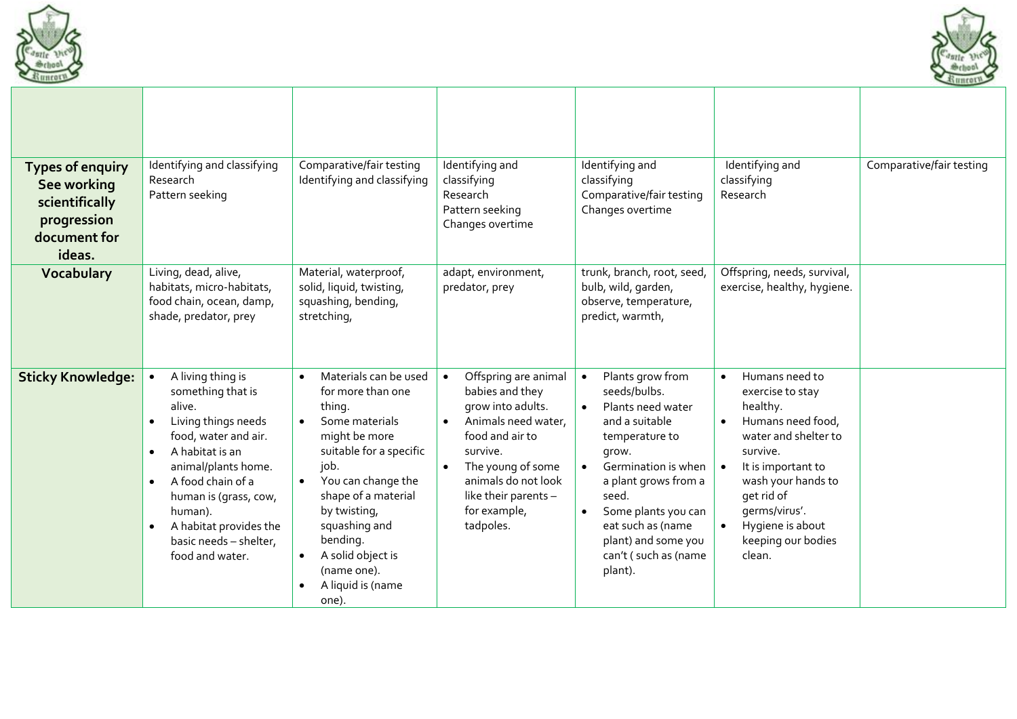



| <b>Types of enquiry</b><br>See working<br>scientifically<br>progression<br>document for<br>ideas. | Identifying and classifying<br>Research<br>Pattern seeking                                                                                                                                                                                                                                                       | Comparative/fair testing<br>Identifying and classifying                                                                                                                                                                                                                                | Identifying and<br>classifying<br>Research<br>Pattern seeking<br>Changes overtime                                                                                                                                                             | Identifying and<br>classifying<br>Comparative/fair testing<br>Changes overtime                                                                                                                                                                                                                                       | Identifying and<br>classifying<br>Research                                                                                                                                                                                                          | Comparative/fair testing |
|---------------------------------------------------------------------------------------------------|------------------------------------------------------------------------------------------------------------------------------------------------------------------------------------------------------------------------------------------------------------------------------------------------------------------|----------------------------------------------------------------------------------------------------------------------------------------------------------------------------------------------------------------------------------------------------------------------------------------|-----------------------------------------------------------------------------------------------------------------------------------------------------------------------------------------------------------------------------------------------|----------------------------------------------------------------------------------------------------------------------------------------------------------------------------------------------------------------------------------------------------------------------------------------------------------------------|-----------------------------------------------------------------------------------------------------------------------------------------------------------------------------------------------------------------------------------------------------|--------------------------|
| Vocabulary                                                                                        | Living, dead, alive,<br>habitats, micro-habitats,<br>food chain, ocean, damp,<br>shade, predator, prey                                                                                                                                                                                                           | Material, waterproof,<br>solid, liquid, twisting,<br>squashing, bending,<br>stretching,                                                                                                                                                                                                | adapt, environment,<br>predator, prey                                                                                                                                                                                                         | trunk, branch, root, seed,<br>bulb, wild, garden,<br>observe, temperature,<br>predict, warmth,                                                                                                                                                                                                                       | Offspring, needs, survival,<br>exercise, healthy, hygiene.                                                                                                                                                                                          |                          |
| <b>Sticky Knowledge:</b>                                                                          | A living thing is<br>something that is<br>alive.<br>Living things needs<br>food, water and air.<br>A habitat is an<br>$\bullet$<br>animal/plants home.<br>A food chain of a<br>$\bullet$<br>human is (grass, cow,<br>human).<br>A habitat provides the<br>$\bullet$<br>basic needs - shelter,<br>food and water. | Materials can be used<br>for more than one<br>thing.<br>Some materials<br>might be more<br>suitable for a specific<br>job.<br>You can change the<br>shape of a material<br>by twisting,<br>squashing and<br>bending.<br>A solid object is<br>(name one).<br>A liquid is (name<br>one). | Offspring are animal<br>$\bullet$<br>babies and they<br>grow into adults.<br>Animals need water,<br>$\bullet$<br>food and air to<br>survive.<br>The young of some<br>animals do not look<br>like their parents -<br>for example,<br>tadpoles. | Plants grow from<br>$\bullet$<br>seeds/bulbs.<br>Plants need water<br>$\bullet$<br>and a suitable<br>temperature to<br>grow.<br>Germination is when<br>$\bullet$<br>a plant grows from a<br>seed.<br>Some plants you can<br>$\bullet$<br>eat such as (name<br>plant) and some you<br>can't (such as (name<br>plant). | Humans need to<br>exercise to stay<br>healthy.<br>Humans need food,<br>$\bullet$<br>water and shelter to<br>survive.<br>It is important to<br>wash your hands to<br>get rid of<br>germs/virus'.<br>Hygiene is about<br>keeping our bodies<br>clean. |                          |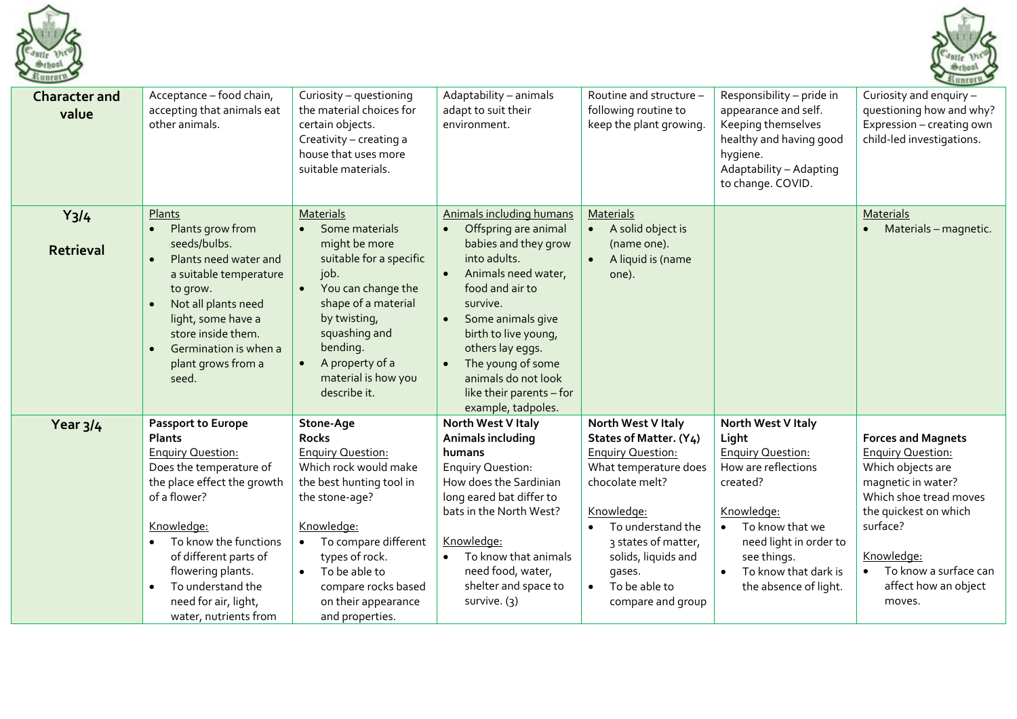

I.



| <b>Character and</b><br>value | Acceptance - food chain,<br>accepting that animals eat<br>other animals.                                                                                                                                                                                                                                          | Curiosity - questioning<br>the material choices for<br>certain objects.<br>Creativity - creating a<br>house that uses more<br>suitable materials.                                                                                                                      | Adaptability - animals<br>adapt to suit their<br>environment.                                                                                                                                                                                                                                                              | Routine and structure -<br>following routine to<br>keep the plant growing.                                                                                                                                                                                         | Responsibility - pride in<br>appearance and self.<br>Keeping themselves<br>healthy and having good<br>hygiene.<br>Adaptability - Adapting<br>to change. COVID.                                                        | Curiosity and enquiry -<br>questioning how and why?<br>Expression - creating own<br>child-led investigations.                                                                                                                              |
|-------------------------------|-------------------------------------------------------------------------------------------------------------------------------------------------------------------------------------------------------------------------------------------------------------------------------------------------------------------|------------------------------------------------------------------------------------------------------------------------------------------------------------------------------------------------------------------------------------------------------------------------|----------------------------------------------------------------------------------------------------------------------------------------------------------------------------------------------------------------------------------------------------------------------------------------------------------------------------|--------------------------------------------------------------------------------------------------------------------------------------------------------------------------------------------------------------------------------------------------------------------|-----------------------------------------------------------------------------------------------------------------------------------------------------------------------------------------------------------------------|--------------------------------------------------------------------------------------------------------------------------------------------------------------------------------------------------------------------------------------------|
| $Y_3/4$<br><b>Retrieval</b>   | Plants<br>Plants grow from<br>seeds/bulbs.<br>Plants need water and<br>$\bullet$<br>a suitable temperature<br>to grow.<br>Not all plants need<br>$\bullet$<br>light, some have a<br>store inside them.<br>Germination is when a<br>$\bullet$<br>plant grows from a<br>seed.                                       | <b>Materials</b><br>Some materials<br>might be more<br>suitable for a specific<br>job.<br>You can change the<br>$\bullet$<br>shape of a material<br>by twisting,<br>squashing and<br>bending.<br>A property of a<br>$\bullet$<br>material is how you<br>describe it.   | Animals including humans<br>Offspring are animal<br>babies and they grow<br>into adults.<br>Animals need water,<br>food and air to<br>survive.<br>Some animals give<br>birth to live young,<br>others lay eggs.<br>The young of some<br>$\bullet$<br>animals do not look<br>like their parents - for<br>example, tadpoles. | <b>Materials</b><br>A solid object is<br>(name one).<br>A liquid is (name<br>one).                                                                                                                                                                                 |                                                                                                                                                                                                                       | <b>Materials</b><br>Materials - magnetic.                                                                                                                                                                                                  |
| Year $3/4$                    | Passport to Europe<br><b>Plants</b><br><b>Enquiry Question:</b><br>Does the temperature of<br>the place effect the growth<br>of a flower?<br>Knowledge:<br>To know the functions<br>of different parts of<br>flowering plants.<br>To understand the<br>$\bullet$<br>need for air, light,<br>water, nutrients from | Stone-Age<br><b>Rocks</b><br><b>Enquiry Question:</b><br>Which rock would make<br>the best hunting tool in<br>the stone-age?<br>Knowledge:<br>To compare different<br>types of rock.<br>To be able to<br>compare rocks based<br>on their appearance<br>and properties. | North West V Italy<br>Animals including<br>humans<br><b>Enquiry Question:</b><br>How does the Sardinian<br>long eared bat differ to<br>bats in the North West?<br>Knowledge:<br>To know that animals<br>need food, water,<br>shelter and space to<br>survive. $(3)$                                                        | North West V Italy<br>States of Matter. (Y4)<br><b>Enguiry Question:</b><br>What temperature does<br>chocolate melt?<br>Knowledge:<br>To understand the<br>3 states of matter,<br>solids, liquids and<br>gases.<br>To be able to<br>$\bullet$<br>compare and group | North West V Italy<br>Light<br><b>Enquiry Question:</b><br>How are reflections<br>created?<br>Knowledge:<br>To know that we<br>need light in order to<br>see things.<br>To know that dark is<br>the absence of light. | <b>Forces and Magnets</b><br><b>Enquiry Question:</b><br>Which objects are<br>magnetic in water?<br>Which shoe tread moves<br>the quickest on which<br>surface?<br>Knowledge:<br>• To know a surface can<br>affect how an object<br>moves. |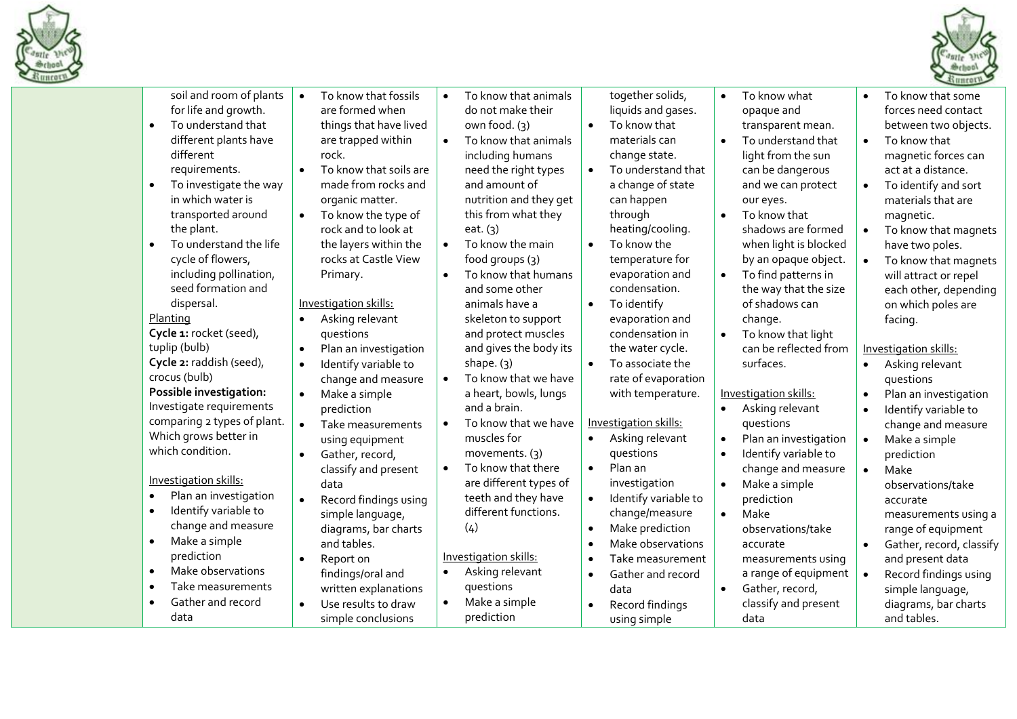



| soil and room of plants<br>for life and growth.<br>To understand that<br>$\bullet$<br>different plants have<br>different<br>requirements.<br>To investigate the way<br>$\bullet$<br>in which water is<br>transported around<br>the plant.<br>To understand the life<br>$\bullet$<br>cycle of flowers,<br>including pollination,<br>seed formation and<br>dispersal.<br>Planting<br>Cycle 1: rocket (seed),<br>tuplip (bulb)<br>Cycle 2: raddish (seed),<br>crocus (bulb)<br>Possible investigation:<br>Investigate requirements<br>comparing 2 types of plant.<br>Which grows better in | To know that fossils<br>$\bullet$<br>are formed when<br>things that have lived<br>are trapped within<br>rock.<br>To know that soils are<br>$\bullet$<br>made from rocks and<br>organic matter.<br>To know the type of<br>$\bullet$<br>rock and to look at<br>the layers within the<br>rocks at Castle View<br>Primary.<br>Investigation skills:<br>Asking relevant<br>questions<br>Plan an investigation<br>$\bullet$<br>Identify variable to<br>$\bullet$<br>change and measure<br>Make a simple<br>$\bullet$<br>prediction<br>Take measurements<br>$\bullet$<br>using equipment | eat. $(3)$<br>$\bullet$<br>shape. $(3)$<br>and a brain.<br>muscles for | To know that animals<br>do not make their<br>own food. (3)<br>$\bullet$<br>To know that animals<br>including humans<br>need the right types<br>and amount of<br>nutrition and they get<br>this from what they<br>To know the main<br>$\bullet$<br>food groups (3)<br>To know that humans<br>and some other<br>animals have a<br>$\bullet$<br>skeleton to support<br>and protect muscles<br>and gives the body its<br>$\bullet$<br>To know that we have<br>a heart, bowls, lungs<br>To know that we have<br>$\bullet$ | together solids,<br>liquids and gases.<br>To know that<br>materials can<br>change state.<br>To understand that<br>a change of state<br>can happen<br>through<br>heating/cooling.<br>To know the<br>temperature for<br>evaporation and<br>condensation.<br>To identify<br>evaporation and<br>condensation in<br>the water cycle.<br>To associate the<br>rate of evaporation<br>with temperature.<br>Investigation skills:<br>Asking relevant | To know what<br>$\bullet$<br>opaque and<br>transparent mean.<br>To understand that<br>light from the sun<br>can be dangerous<br>and we can protect<br>our eyes.<br>To know that<br>$\bullet$<br>shadows are formed<br>when light is blocked<br>by an opaque object.<br>To find patterns in<br>$\bullet$<br>the way that the size<br>of shadows can<br>change.<br>To know that light<br>$\bullet$<br>can be reflected from<br>surfaces.<br>Investigation skills:<br>Asking relevant<br>$\bullet$<br>questions<br>Plan an investigation<br>$\bullet$ | $\bullet$<br>$\bullet$<br>$\bullet$<br>$\bullet$<br>$\bullet$<br>$\bullet$<br>$\bullet$<br>$\bullet$<br>$\bullet$ | To know that some<br>forces need contact<br>between two objects.<br>To know that<br>magnetic forces can<br>act at a distance.<br>To identify and sort<br>materials that are<br>magnetic.<br>To know that magnets<br>have two poles.<br>To know that magnets<br>will attract or repel<br>each other, depending<br>on which poles are<br>facing.<br>Investigation skills:<br>Asking relevant<br>questions<br>Plan an investigation<br>Identify variable to<br>change and measure<br>Make a simple |
|-----------------------------------------------------------------------------------------------------------------------------------------------------------------------------------------------------------------------------------------------------------------------------------------------------------------------------------------------------------------------------------------------------------------------------------------------------------------------------------------------------------------------------------------------------------------------------------------|-----------------------------------------------------------------------------------------------------------------------------------------------------------------------------------------------------------------------------------------------------------------------------------------------------------------------------------------------------------------------------------------------------------------------------------------------------------------------------------------------------------------------------------------------------------------------------------|------------------------------------------------------------------------|----------------------------------------------------------------------------------------------------------------------------------------------------------------------------------------------------------------------------------------------------------------------------------------------------------------------------------------------------------------------------------------------------------------------------------------------------------------------------------------------------------------------|---------------------------------------------------------------------------------------------------------------------------------------------------------------------------------------------------------------------------------------------------------------------------------------------------------------------------------------------------------------------------------------------------------------------------------------------|----------------------------------------------------------------------------------------------------------------------------------------------------------------------------------------------------------------------------------------------------------------------------------------------------------------------------------------------------------------------------------------------------------------------------------------------------------------------------------------------------------------------------------------------------|-------------------------------------------------------------------------------------------------------------------|-------------------------------------------------------------------------------------------------------------------------------------------------------------------------------------------------------------------------------------------------------------------------------------------------------------------------------------------------------------------------------------------------------------------------------------------------------------------------------------------------|
|                                                                                                                                                                                                                                                                                                                                                                                                                                                                                                                                                                                         |                                                                                                                                                                                                                                                                                                                                                                                                                                                                                                                                                                                   |                                                                        |                                                                                                                                                                                                                                                                                                                                                                                                                                                                                                                      |                                                                                                                                                                                                                                                                                                                                                                                                                                             |                                                                                                                                                                                                                                                                                                                                                                                                                                                                                                                                                    |                                                                                                                   |                                                                                                                                                                                                                                                                                                                                                                                                                                                                                                 |
|                                                                                                                                                                                                                                                                                                                                                                                                                                                                                                                                                                                         |                                                                                                                                                                                                                                                                                                                                                                                                                                                                                                                                                                                   |                                                                        |                                                                                                                                                                                                                                                                                                                                                                                                                                                                                                                      |                                                                                                                                                                                                                                                                                                                                                                                                                                             |                                                                                                                                                                                                                                                                                                                                                                                                                                                                                                                                                    |                                                                                                                   |                                                                                                                                                                                                                                                                                                                                                                                                                                                                                                 |
|                                                                                                                                                                                                                                                                                                                                                                                                                                                                                                                                                                                         |                                                                                                                                                                                                                                                                                                                                                                                                                                                                                                                                                                                   |                                                                        |                                                                                                                                                                                                                                                                                                                                                                                                                                                                                                                      |                                                                                                                                                                                                                                                                                                                                                                                                                                             |                                                                                                                                                                                                                                                                                                                                                                                                                                                                                                                                                    |                                                                                                                   |                                                                                                                                                                                                                                                                                                                                                                                                                                                                                                 |
| which condition.                                                                                                                                                                                                                                                                                                                                                                                                                                                                                                                                                                        | Gather, record,<br>$\bullet$                                                                                                                                                                                                                                                                                                                                                                                                                                                                                                                                                      |                                                                        | movements. $(3)$                                                                                                                                                                                                                                                                                                                                                                                                                                                                                                     | questions                                                                                                                                                                                                                                                                                                                                                                                                                                   | Identify variable to<br>$\bullet$                                                                                                                                                                                                                                                                                                                                                                                                                                                                                                                  |                                                                                                                   | prediction                                                                                                                                                                                                                                                                                                                                                                                                                                                                                      |
| Investigation skills:<br>Plan an investigation<br>$\bullet$<br>Identify variable to<br>$\bullet$<br>change and measure<br>Make a simple<br>$\bullet$                                                                                                                                                                                                                                                                                                                                                                                                                                    | classify and present<br>data<br>Record findings using<br>simple language,<br>diagrams, bar charts<br>and tables.                                                                                                                                                                                                                                                                                                                                                                                                                                                                  | (4)                                                                    | To know that there<br>are different types of<br>teeth and they have<br>$\bullet$<br>different functions.<br>$\bullet$<br>$\bullet$                                                                                                                                                                                                                                                                                                                                                                                   | Plan an<br>$\bullet$<br>investigation<br>Identify variable to<br>change/measure<br>Make prediction<br>Make observations                                                                                                                                                                                                                                                                                                                     | change and measure<br>Make a simple<br>$\bullet$<br>prediction<br>$\bullet$<br>Make<br>observations/take<br>accurate                                                                                                                                                                                                                                                                                                                                                                                                                               | $\bullet$<br>$\bullet$                                                                                            | Make<br>observations/take<br>accurate<br>measurements using a<br>range of equipment<br>Gather, record, classify                                                                                                                                                                                                                                                                                                                                                                                 |
| prediction<br>Make observations<br>$\bullet$<br>Take measurements<br>$\bullet$<br>Gather and record<br>$\bullet$<br>data                                                                                                                                                                                                                                                                                                                                                                                                                                                                | Report on<br>findings/oral and<br>written explanations<br>Use results to draw<br>$\bullet$<br>simple conclusions                                                                                                                                                                                                                                                                                                                                                                                                                                                                  | Investigation skills:<br>$\bullet$<br>questions<br>prediction          | $\bullet$<br>Asking relevant<br>$\bullet$<br>Make a simple                                                                                                                                                                                                                                                                                                                                                                                                                                                           | Take measurement<br>Gather and record<br>data<br>Record findings<br>using simple                                                                                                                                                                                                                                                                                                                                                            | measurements using<br>a range of equipment<br>Gather, record,<br>$\bullet$<br>classify and present<br>data                                                                                                                                                                                                                                                                                                                                                                                                                                         | $\bullet$                                                                                                         | and present data<br>Record findings using<br>simple language,<br>diagrams, bar charts<br>and tables.                                                                                                                                                                                                                                                                                                                                                                                            |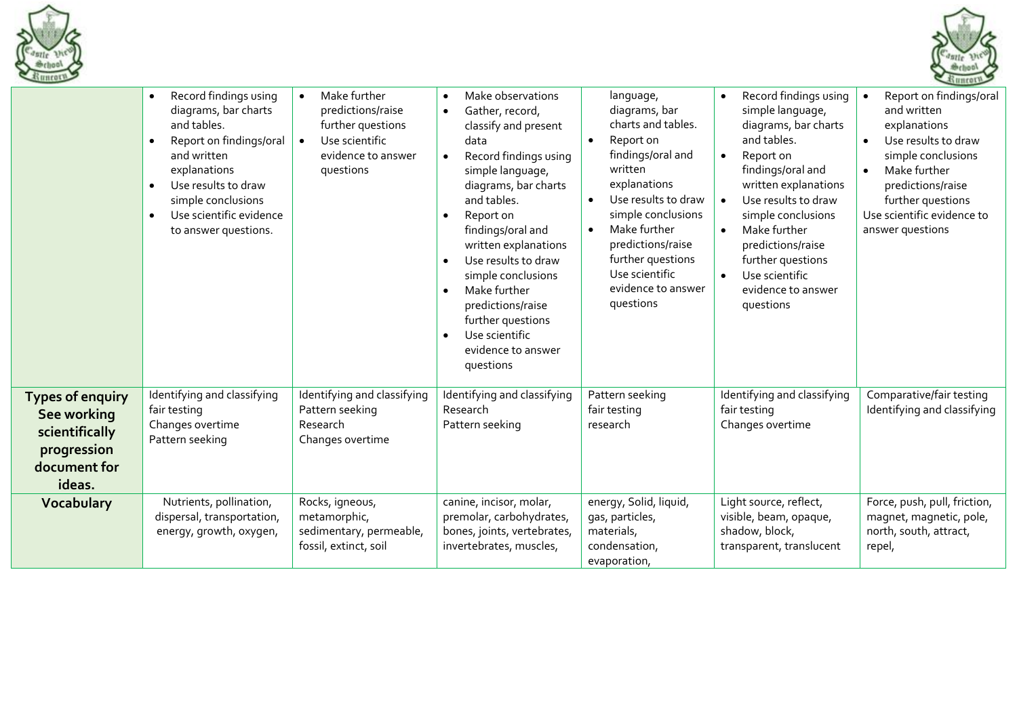



|                                                                                                   |                                                                                                                                                                                                                                     |                                                                                                                          |                                                                                                                                                                                                                                                                                                                                                                                                                                                                           |                                                                                                                                                                                                                                                                                                                  |                                                                                                                                                                                                                                                                                                                                               | $\sim$                                                                                                                                                                                                                                                 |
|---------------------------------------------------------------------------------------------------|-------------------------------------------------------------------------------------------------------------------------------------------------------------------------------------------------------------------------------------|--------------------------------------------------------------------------------------------------------------------------|---------------------------------------------------------------------------------------------------------------------------------------------------------------------------------------------------------------------------------------------------------------------------------------------------------------------------------------------------------------------------------------------------------------------------------------------------------------------------|------------------------------------------------------------------------------------------------------------------------------------------------------------------------------------------------------------------------------------------------------------------------------------------------------------------|-----------------------------------------------------------------------------------------------------------------------------------------------------------------------------------------------------------------------------------------------------------------------------------------------------------------------------------------------|--------------------------------------------------------------------------------------------------------------------------------------------------------------------------------------------------------------------------------------------------------|
|                                                                                                   | Record findings using<br>diagrams, bar charts<br>and tables.<br>Report on findings/oral<br>and written<br>explanations<br>Use results to draw<br>simple conclusions<br>Use scientific evidence<br>$\bullet$<br>to answer questions. | Make further<br>$\bullet$<br>predictions/raise<br>further questions<br>Use scientific<br>evidence to answer<br>questions | Make observations<br>$\bullet$<br>Gather, record,<br>$\bullet$<br>classify and present<br>data<br>Record findings using<br>$\bullet$<br>simple language,<br>diagrams, bar charts<br>and tables.<br>Report on<br>$\bullet$<br>findings/oral and<br>written explanations<br>Use results to draw<br>$\bullet$<br>simple conclusions<br>Make further<br>$\bullet$<br>predictions/raise<br>further questions<br>Use scientific<br>$\bullet$<br>evidence to answer<br>questions | language,<br>diagrams, bar<br>charts and tables.<br>Report on<br>$\bullet$<br>findings/oral and<br>written<br>explanations<br>Use results to draw<br>$\bullet$<br>simple conclusions<br>Make further<br>$\bullet$<br>predictions/raise<br>further questions<br>Use scientific<br>evidence to answer<br>questions | Record findings using<br>$\bullet$<br>simple language,<br>diagrams, bar charts<br>and tables.<br>Report on<br>$\bullet$<br>findings/oral and<br>written explanations<br>Use results to draw<br>simple conclusions<br>Make further<br>$\bullet$<br>predictions/raise<br>further questions<br>Use scientific<br>evidence to answer<br>questions | Report on findings/oral<br>$\bullet$<br>and written<br>explanations<br>Use results to draw<br>$\bullet$<br>simple conclusions<br>Make further<br>$\bullet$<br>predictions/raise<br>further questions<br>Use scientific evidence to<br>answer questions |
| <b>Types of enquiry</b><br>See working<br>scientifically<br>progression<br>document for<br>ideas. | Identifying and classifying<br>fair testing<br>Changes overtime<br>Pattern seeking                                                                                                                                                  | Identifying and classifying<br>Pattern seeking<br>Research<br>Changes overtime                                           | Identifying and classifying<br>Research<br>Pattern seeking                                                                                                                                                                                                                                                                                                                                                                                                                | Pattern seeking<br>fair testing<br>research                                                                                                                                                                                                                                                                      | Identifying and classifying<br>fair testing<br>Changes overtime                                                                                                                                                                                                                                                                               | Comparative/fair testing<br>Identifying and classifying                                                                                                                                                                                                |
| Vocabulary                                                                                        | Nutrients, pollination,<br>dispersal, transportation,<br>energy, growth, oxygen,                                                                                                                                                    | Rocks, igneous,<br>metamorphic,<br>sedimentary, permeable,<br>fossil, extinct, soil                                      | canine, incisor, molar,<br>premolar, carbohydrates,<br>bones, joints, vertebrates,<br>invertebrates, muscles,                                                                                                                                                                                                                                                                                                                                                             | energy, Solid, liquid,<br>gas, particles,<br>materials,<br>condensation,<br>evaporation,                                                                                                                                                                                                                         | Light source, reflect,<br>visible, beam, opaque,<br>shadow, block,<br>transparent, translucent                                                                                                                                                                                                                                                | Force, push, pull, friction,<br>magnet, magnetic, pole,<br>north, south, attract,<br>repel,                                                                                                                                                            |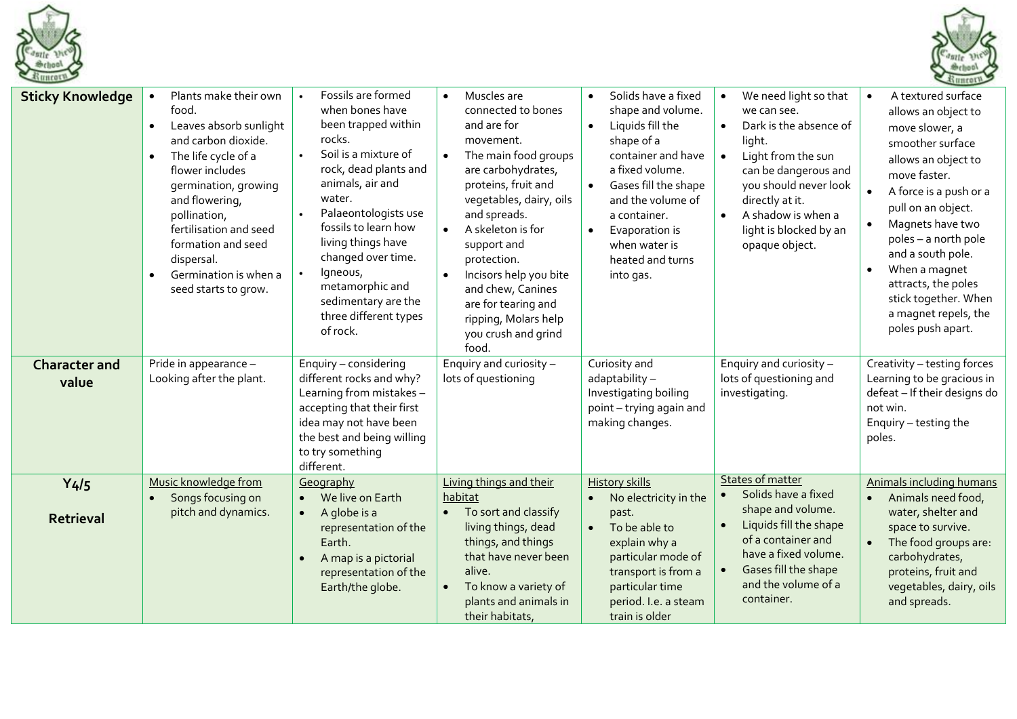



| $\bullet$<br>food.<br>Leaves absorb sunlight<br>$\bullet$<br>and carbon dioxide.<br>The life cycle of a<br>$\bullet$<br>flower includes<br>germination, growing<br>and flowering,<br>pollination,<br>fertilisation and seed<br>formation and seed<br>dispersal.<br>Germination is when a<br>$\bullet$<br>seed starts to grow. | Fossils are formed<br>when bones have<br>been trapped within<br>rocks.<br>Soil is a mixture of<br>rock, dead plants and<br>animals, air and<br>water.<br>Palaeontologists use<br>fossils to learn how<br>living things have<br>changed over time.<br>lgneous,<br>metamorphic and<br>sedimentary are the<br>three different types<br>of rock. | Muscles are<br>$\bullet$<br>connected to bones<br>and are for<br>movement.<br>The main food groups<br>are carbohydrates,<br>proteins, fruit and<br>vegetables, dairy, oils<br>and spreads.<br>A skeleton is for<br>$\bullet$<br>support and<br>protection.<br>Incisors help you bite<br>and chew, Canines<br>are for tearing and<br>ripping, Molars help<br>you crush and grind<br>food. | Solids have a fixed<br>shape and volume.<br>Liquids fill the<br>$\bullet$<br>shape of a<br>container and have<br>a fixed volume.<br>Gases fill the shape<br>$\bullet$<br>and the volume of<br>a container.<br>Evaporation is<br>when water is<br>heated and turns<br>into gas. | We need light so that<br>we can see.<br>Dark is the absence of<br>light.<br>Light from the sun<br>$\bullet$<br>can be dangerous and<br>you should never look<br>directly at it.<br>A shadow is when a<br>$\bullet$<br>light is blocked by an<br>opaque object. | A textured surface<br>allows an object to<br>move slower, a<br>smoother surface<br>allows an object to<br>move faster.<br>A force is a push or a<br>pull on an object.<br>Magnets have two<br>poles - a north pole<br>and a south pole.<br>When a magnet<br>attracts, the poles<br>stick together. When<br>a magnet repels, the<br>poles push apart. |
|-------------------------------------------------------------------------------------------------------------------------------------------------------------------------------------------------------------------------------------------------------------------------------------------------------------------------------|----------------------------------------------------------------------------------------------------------------------------------------------------------------------------------------------------------------------------------------------------------------------------------------------------------------------------------------------|------------------------------------------------------------------------------------------------------------------------------------------------------------------------------------------------------------------------------------------------------------------------------------------------------------------------------------------------------------------------------------------|--------------------------------------------------------------------------------------------------------------------------------------------------------------------------------------------------------------------------------------------------------------------------------|----------------------------------------------------------------------------------------------------------------------------------------------------------------------------------------------------------------------------------------------------------------|------------------------------------------------------------------------------------------------------------------------------------------------------------------------------------------------------------------------------------------------------------------------------------------------------------------------------------------------------|
| Pride in appearance -                                                                                                                                                                                                                                                                                                         | Enquiry - considering                                                                                                                                                                                                                                                                                                                        | Enquiry and curiosity -                                                                                                                                                                                                                                                                                                                                                                  | Curiosity and                                                                                                                                                                                                                                                                  | Enquiry and curiosity -                                                                                                                                                                                                                                        | Creativity - testing forces                                                                                                                                                                                                                                                                                                                          |
|                                                                                                                                                                                                                                                                                                                               | Learning from mistakes -<br>accepting that their first<br>idea may not have been<br>the best and being willing<br>to try something<br>different.                                                                                                                                                                                             |                                                                                                                                                                                                                                                                                                                                                                                          | Investigating boiling<br>point - trying again and<br>making changes.                                                                                                                                                                                                           | investigating.                                                                                                                                                                                                                                                 | Learning to be gracious in<br>defeat - If their designs do<br>not win.<br>Enquiry - testing the<br>poles.                                                                                                                                                                                                                                            |
| Music knowledge from                                                                                                                                                                                                                                                                                                          | Geography                                                                                                                                                                                                                                                                                                                                    | Living things and their                                                                                                                                                                                                                                                                                                                                                                  | <b>History skills</b>                                                                                                                                                                                                                                                          | <b>States of matter</b>                                                                                                                                                                                                                                        | <b>Animals including humans</b>                                                                                                                                                                                                                                                                                                                      |
| pitch and dynamics.                                                                                                                                                                                                                                                                                                           | A globe is a<br>representation of the<br>Earth.<br>A map is a pictorial<br>representation of the<br>Earth/the globe.                                                                                                                                                                                                                         | To sort and classify<br>$\bullet$<br>living things, dead<br>things, and things<br>that have never been<br>alive.<br>To know a variety of<br>plants and animals in                                                                                                                                                                                                                        | past.<br>To be able to<br>$\bullet$<br>explain why a<br>particular mode of<br>transport is from a<br>particular time<br>period. I.e. a steam                                                                                                                                   | shape and volume.<br>Liquids fill the shape<br>of a container and<br>have a fixed volume.<br>Gases fill the shape<br>and the volume of a<br>container.                                                                                                         | Animals need food,<br>water, shelter and<br>space to survive.<br>The food groups are:<br>carbohydrates,<br>proteins, fruit and<br>vegetables, dairy, oils<br>and spreads.                                                                                                                                                                            |
|                                                                                                                                                                                                                                                                                                                               | Plants make their own<br>Looking after the plant.<br>Songs focusing on                                                                                                                                                                                                                                                                       | different rocks and why?<br>We live on Earth                                                                                                                                                                                                                                                                                                                                             | lots of questioning<br>habitat<br>their habitats,                                                                                                                                                                                                                              | adaptability-<br>No electricity in the<br>train is older                                                                                                                                                                                                       | lots of questioning and<br>Solids have a fixed                                                                                                                                                                                                                                                                                                       |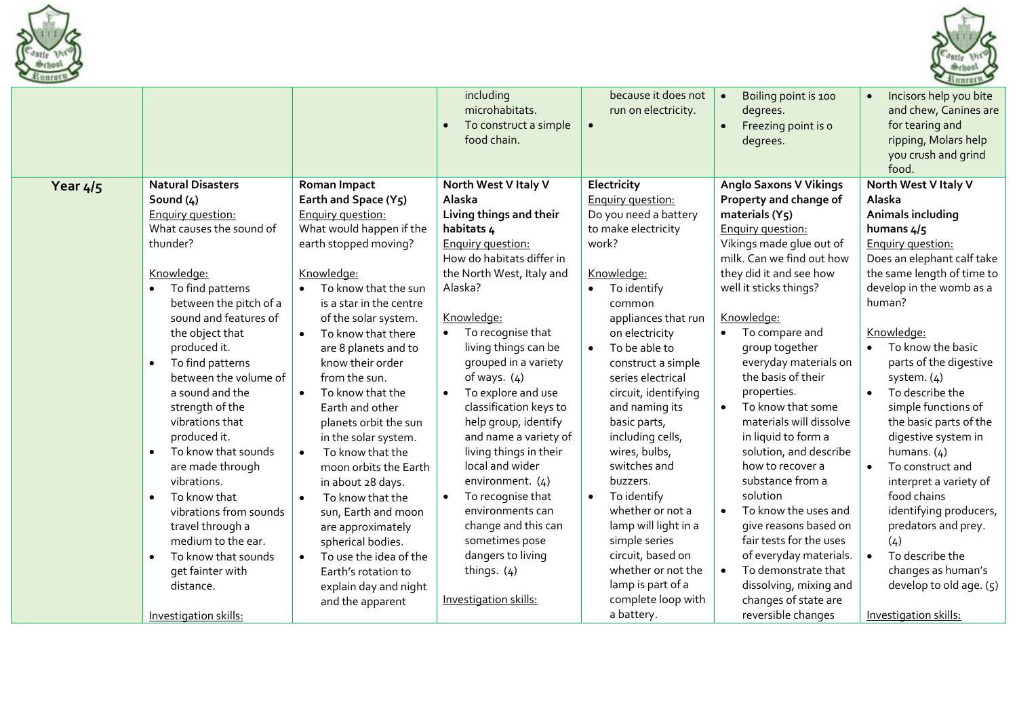



|            |                                                                                                                                                                                                                                                                                                                                                                                                                                                                                                                                                                                                            |                                                                                                                                                                                                                                                                                                                                                                                                                                                                                                                                                                                                                                                                   | including<br>microhabitats.<br>To construct a simple<br>$\bullet$<br>food chain.                                                                                                                                                                                                                                                                                                                                                                                                                                                                                              | because it does not<br>run on electricity.<br>$\bullet$                                                                                                                                                                                                                                                                                                                                                                                                                                                                                             | Boiling point is 100<br>degrees.<br>Freezing point is o<br>$\bullet$<br>degrees.                                                                                                                                                                                                                                                                                                                                                                                                                                                                                                                                                                                | Incisors help you bite<br>and chew, Canines are<br>for tearing and<br>ripping, Molars help<br>you crush and grind<br>food.                                                                                                                                                                                                                                                                                                                                                                                                                                                  |
|------------|------------------------------------------------------------------------------------------------------------------------------------------------------------------------------------------------------------------------------------------------------------------------------------------------------------------------------------------------------------------------------------------------------------------------------------------------------------------------------------------------------------------------------------------------------------------------------------------------------------|-------------------------------------------------------------------------------------------------------------------------------------------------------------------------------------------------------------------------------------------------------------------------------------------------------------------------------------------------------------------------------------------------------------------------------------------------------------------------------------------------------------------------------------------------------------------------------------------------------------------------------------------------------------------|-------------------------------------------------------------------------------------------------------------------------------------------------------------------------------------------------------------------------------------------------------------------------------------------------------------------------------------------------------------------------------------------------------------------------------------------------------------------------------------------------------------------------------------------------------------------------------|-----------------------------------------------------------------------------------------------------------------------------------------------------------------------------------------------------------------------------------------------------------------------------------------------------------------------------------------------------------------------------------------------------------------------------------------------------------------------------------------------------------------------------------------------------|-----------------------------------------------------------------------------------------------------------------------------------------------------------------------------------------------------------------------------------------------------------------------------------------------------------------------------------------------------------------------------------------------------------------------------------------------------------------------------------------------------------------------------------------------------------------------------------------------------------------------------------------------------------------|-----------------------------------------------------------------------------------------------------------------------------------------------------------------------------------------------------------------------------------------------------------------------------------------------------------------------------------------------------------------------------------------------------------------------------------------------------------------------------------------------------------------------------------------------------------------------------|
| Year $4/5$ | <b>Natural Disasters</b><br>Sound (4)<br>Enquiry question:<br>What causes the sound of<br>thunder?<br>Knowledge:<br>To find patterns<br>$\bullet$<br>between the pitch of a<br>sound and features of<br>the object that<br>produced it.<br>To find patterns<br>$\bullet$<br>between the volume of<br>a sound and the<br>strength of the<br>vibrations that<br>produced it.<br>To know that sounds<br>$\bullet$<br>are made through<br>vibrations.<br>To know that<br>$\bullet$<br>vibrations from sounds<br>travel through a<br>medium to the ear.<br>To know that sounds<br>get fainter with<br>distance. | <b>Roman Impact</b><br>Earth and Space (Y5)<br>Enquiry question:<br>What would happen if the<br>earth stopped moving?<br>Knowledge:<br>To know that the sun<br>$\bullet$<br>is a star in the centre<br>of the solar system.<br>To know that there<br>are 8 planets and to<br>know their order<br>from the sun.<br>To know that the<br>Earth and other<br>planets orbit the sun<br>in the solar system.<br>To know that the<br>$\bullet$<br>moon orbits the Earth<br>in about 28 days.<br>To know that the<br>$\bullet$<br>sun, Earth and moon<br>are approximately<br>spherical bodies.<br>To use the idea of the<br>Earth's rotation to<br>explain day and night | North West V Italy V<br>Alaska<br>Living things and their<br>habitats 4<br>Enquiry question:<br>How do habitats differ in<br>the North West, Italy and<br>Alaska?<br>Knowledge:<br>To recognise that<br>living things can be<br>grouped in a variety<br>of ways. $(4)$<br>To explore and use<br>classification keys to<br>help group, identify<br>and name a variety of<br>living things in their<br>local and wider<br>environment. (4)<br>To recognise that<br>$\bullet$<br>environments can<br>change and this can<br>sometimes pose<br>dangers to living<br>things. $(4)$ | Electricity<br>Enquiry question:<br>Do you need a battery<br>to make electricity<br>work?<br>Knowledge:<br>To identify<br>$\bullet$<br>common<br>appliances that run<br>on electricity<br>To be able to<br>$\bullet$<br>construct a simple<br>series electrical<br>circuit, identifying<br>and naming its<br>basic parts,<br>including cells,<br>wires, bulbs,<br>switches and<br>buzzers.<br>To identify<br>$\bullet$<br>whether or not a<br>lamp will light in a<br>simple series<br>circuit, based on<br>whether or not the<br>lamp is part of a | <b>Anglo Saxons V Vikings</b><br>Property and change of<br>materials $(Y_5)$<br><b>Enquiry question:</b><br>Vikings made glue out of<br>milk. Can we find out how<br>they did it and see how<br>well it sticks things?<br>Knowledge:<br>To compare and<br>$\bullet$<br>group together<br>everyday materials on<br>the basis of their<br>properties.<br>To know that some<br>materials will dissolve<br>in liquid to form a<br>solution, and describe<br>how to recover a<br>substance from a<br>solution<br>To know the uses and<br>give reasons based on<br>fair tests for the uses<br>of everyday materials.<br>To demonstrate that<br>dissolving, mixing and | North West V Italy V<br>Alaska<br>Animals including<br>humans 4/5<br>Enquiry question:<br>Does an elephant calf take<br>the same length of time to<br>develop in the womb as a<br>human?<br>Knowledge:<br>To know the basic<br>parts of the digestive<br>system. $(4)$<br>To describe the<br>simple functions of<br>the basic parts of the<br>digestive system in<br>humans. $(4)$<br>To construct and<br>interpret a variety of<br>food chains<br>identifying producers,<br>predators and prey.<br>(4)<br>To describe the<br>changes as human's<br>develop to old age. (5) |
|            | Investigation skills:                                                                                                                                                                                                                                                                                                                                                                                                                                                                                                                                                                                      | and the apparent                                                                                                                                                                                                                                                                                                                                                                                                                                                                                                                                                                                                                                                  | Investigation skills:                                                                                                                                                                                                                                                                                                                                                                                                                                                                                                                                                         | complete loop with<br>a battery.                                                                                                                                                                                                                                                                                                                                                                                                                                                                                                                    | changes of state are<br>reversible changes                                                                                                                                                                                                                                                                                                                                                                                                                                                                                                                                                                                                                      | Investigation skills:                                                                                                                                                                                                                                                                                                                                                                                                                                                                                                                                                       |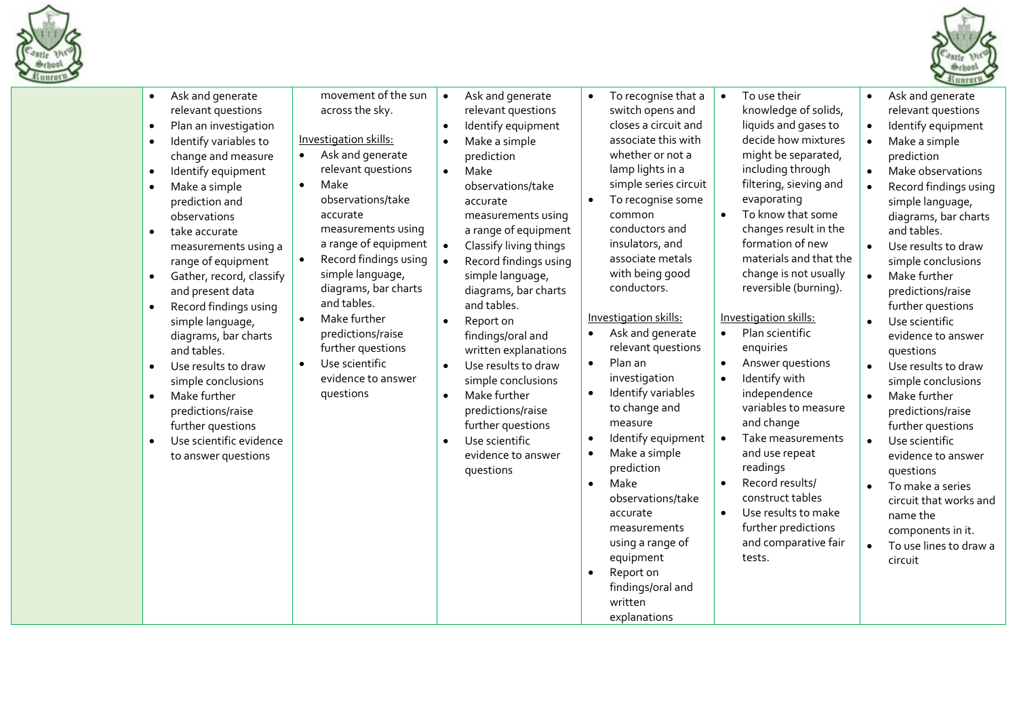



|                                                                                                                                                                                                                                                                                                                                                                                                                                                                                                                                                                                                                                                                                                    |                                                                                                                                                                                                                                                                                                                                                                                                                                                                |                                                                                                                                                                                                                                                                                                                                                                                                                                                                                                                                                                                                                                             |                                                                                                                                                                                                                                                                                                                                                                                                                                                                                                                                                                                                                                                                                                                                                        |                                                                                                                                                                                                                                                                                                                                                                                                                                                                                                                                                                                                                                                                                                                                                              | $\frac{4}{3}$ uncory                                                                                                                                                                                                                                                                                                                                                                                                                                                                                                                                                                                                                                                                                                                                                                                                      |
|----------------------------------------------------------------------------------------------------------------------------------------------------------------------------------------------------------------------------------------------------------------------------------------------------------------------------------------------------------------------------------------------------------------------------------------------------------------------------------------------------------------------------------------------------------------------------------------------------------------------------------------------------------------------------------------------------|----------------------------------------------------------------------------------------------------------------------------------------------------------------------------------------------------------------------------------------------------------------------------------------------------------------------------------------------------------------------------------------------------------------------------------------------------------------|---------------------------------------------------------------------------------------------------------------------------------------------------------------------------------------------------------------------------------------------------------------------------------------------------------------------------------------------------------------------------------------------------------------------------------------------------------------------------------------------------------------------------------------------------------------------------------------------------------------------------------------------|--------------------------------------------------------------------------------------------------------------------------------------------------------------------------------------------------------------------------------------------------------------------------------------------------------------------------------------------------------------------------------------------------------------------------------------------------------------------------------------------------------------------------------------------------------------------------------------------------------------------------------------------------------------------------------------------------------------------------------------------------------|--------------------------------------------------------------------------------------------------------------------------------------------------------------------------------------------------------------------------------------------------------------------------------------------------------------------------------------------------------------------------------------------------------------------------------------------------------------------------------------------------------------------------------------------------------------------------------------------------------------------------------------------------------------------------------------------------------------------------------------------------------------|---------------------------------------------------------------------------------------------------------------------------------------------------------------------------------------------------------------------------------------------------------------------------------------------------------------------------------------------------------------------------------------------------------------------------------------------------------------------------------------------------------------------------------------------------------------------------------------------------------------------------------------------------------------------------------------------------------------------------------------------------------------------------------------------------------------------------|
| Ask and generate<br>$\bullet$<br>relevant questions<br>Plan an investigation<br>$\bullet$<br>Identify variables to<br>$\bullet$<br>change and measure<br>Identify equipment<br>$\bullet$<br>Make a simple<br>$\bullet$<br>prediction and<br>observations<br>take accurate<br>$\bullet$<br>measurements using a<br>range of equipment<br>Gather, record, classify<br>$\bullet$<br>and present data<br>Record findings using<br>$\bullet$<br>simple language,<br>diagrams, bar charts<br>and tables.<br>Use results to draw<br>$\bullet$<br>simple conclusions<br>Make further<br>$\bullet$<br>predictions/raise<br>further questions<br>Use scientific evidence<br>$\bullet$<br>to answer questions | movement of the sun<br>across the sky.<br><b>Investigation skills:</b><br>Ask and generate<br>relevant questions<br>Make<br>$\bullet$<br>observations/take<br>accurate<br>measurements using<br>a range of equipment<br>Record findings using<br>$\bullet$<br>simple language,<br>diagrams, bar charts<br>and tables.<br>Make further<br>$\bullet$<br>predictions/raise<br>further questions<br>Use scientific<br>$\bullet$<br>evidence to answer<br>questions | Ask and generate<br>$\bullet$<br>relevant questions<br>Identify equipment<br>$\bullet$<br>Make a simple<br>$\bullet$<br>prediction<br>Make<br>$\bullet$<br>observations/take<br>accurate<br>measurements using<br>a range of equipment<br>Classify living things<br>$\bullet$<br>Record findings using<br>simple language,<br>diagrams, bar charts<br>and tables.<br>Report on<br>$\bullet$<br>findings/oral and<br>written explanations<br>Use results to draw<br>$\bullet$<br>simple conclusions<br>Make further<br>$\bullet$<br>predictions/raise<br>further questions<br>Use scientific<br>$\bullet$<br>evidence to answer<br>questions | To recognise that a<br>$\bullet$<br>switch opens and<br>closes a circuit and<br>associate this with<br>whether or not a<br>lamp lights in a<br>simple series circuit<br>To recognise some<br>$\bullet$<br>common<br>conductors and<br>insulators, and<br>associate metals<br>with being good<br>conductors.<br>Investigation skills:<br>Ask and generate<br>$\bullet$<br>relevant questions<br>Plan an<br>$\bullet$<br>investigation<br>Identify variables<br>$\bullet$<br>to change and<br>measure<br>Identify equipment<br>$\bullet$<br>Make a simple<br>$\bullet$<br>prediction<br>Make<br>$\bullet$<br>observations/take<br>accurate<br>measurements<br>using a range of<br>equipment<br>Report on<br>findings/oral and<br>written<br>explanations | To use their<br>$\bullet$<br>knowledge of solids,<br>liquids and gases to<br>decide how mixtures<br>might be separated,<br>including through<br>filtering, sieving and<br>evaporating<br>To know that some<br>$\bullet$<br>changes result in the<br>formation of new<br>materials and that the<br>change is not usually<br>reversible (burning).<br>Investigation skills:<br>Plan scientific<br>$\bullet$<br>enquiries<br>Answer questions<br>$\bullet$<br>Identify with<br>$\bullet$<br>independence<br>variables to measure<br>and change<br>Take measurements<br>$\bullet$<br>and use repeat<br>readings<br>Record results/<br>$\bullet$<br>construct tables<br>Use results to make<br>$\bullet$<br>further predictions<br>and comparative fair<br>tests. | Ask and generate<br>$\bullet$<br>relevant questions<br>Identify equipment<br>$\bullet$<br>Make a simple<br>$\bullet$<br>prediction<br>Make observations<br>$\bullet$<br>Record findings using<br>$\bullet$<br>simple language,<br>diagrams, bar charts<br>and tables.<br>Use results to draw<br>$\bullet$<br>simple conclusions<br>$\bullet$<br>Make further<br>predictions/raise<br>further questions<br>Use scientific<br>$\bullet$<br>evidence to answer<br>questions<br>Use results to draw<br>$\bullet$<br>simple conclusions<br>Make further<br>$\bullet$<br>predictions/raise<br>further questions<br>Use scientific<br>$\bullet$<br>evidence to answer<br>questions<br>To make a series<br>$\bullet$<br>circuit that works and<br>name the<br>components in it.<br>To use lines to draw a<br>$\bullet$<br>circuit |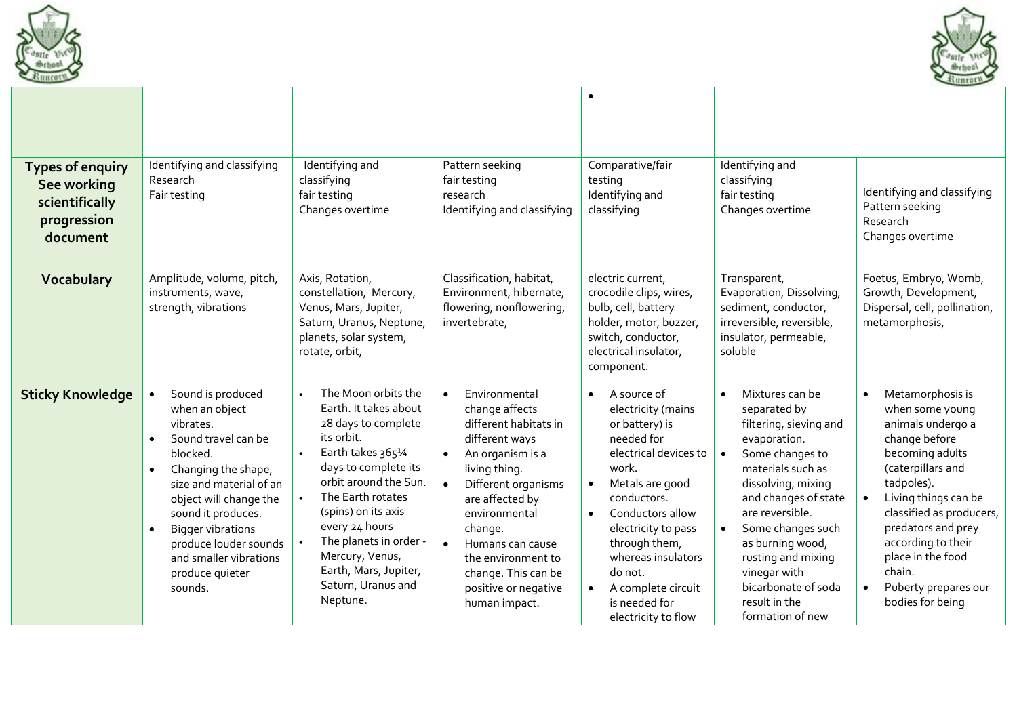



| <b>Types of enquiry</b><br>See working<br>scientifically<br>progression<br>document | Identifying and classifying<br>Research<br>Fair testing                                                                                                                                                                                                                                                                      | Identifying and<br>classifying<br>fair testing<br>Changes overtime                                                                                                                                                                                                                                                            | Pattern seeking<br>fair testing<br>research<br>Identifying and classifying                                                                                                                                                                                                                      | $\bullet$<br>Comparative/fair<br>testing<br>Identifying and<br>classifying                                                                                                                                                                                                                                                 | Identifying and<br>classifying<br>fair testing<br>Changes overtime                                                                                                                                                                                                                                                                         | Identifying and classifying<br>Pattern seeking<br>Research<br>Changes overtime                                                                                                                                                                                                                                                       |
|-------------------------------------------------------------------------------------|------------------------------------------------------------------------------------------------------------------------------------------------------------------------------------------------------------------------------------------------------------------------------------------------------------------------------|-------------------------------------------------------------------------------------------------------------------------------------------------------------------------------------------------------------------------------------------------------------------------------------------------------------------------------|-------------------------------------------------------------------------------------------------------------------------------------------------------------------------------------------------------------------------------------------------------------------------------------------------|----------------------------------------------------------------------------------------------------------------------------------------------------------------------------------------------------------------------------------------------------------------------------------------------------------------------------|--------------------------------------------------------------------------------------------------------------------------------------------------------------------------------------------------------------------------------------------------------------------------------------------------------------------------------------------|--------------------------------------------------------------------------------------------------------------------------------------------------------------------------------------------------------------------------------------------------------------------------------------------------------------------------------------|
| Vocabulary                                                                          | Amplitude, volume, pitch,<br>instruments, wave,<br>strength, vibrations                                                                                                                                                                                                                                                      | Axis, Rotation,<br>constellation, Mercury,<br>Venus, Mars, Jupiter,<br>Saturn, Uranus, Neptune,<br>planets, solar system,<br>rotate, orbit,                                                                                                                                                                                   | Classification, habitat,<br>Environment, hibernate,<br>flowering, nonflowering,<br>invertebrate,                                                                                                                                                                                                | electric current,<br>crocodile clips, wires,<br>bulb, cell, battery<br>holder, motor, buzzer,<br>switch, conductor,<br>electrical insulator,<br>component.                                                                                                                                                                 | Transparent,<br>Evaporation, Dissolving,<br>sediment, conductor,<br>irreversible, reversible,<br>insulator, permeable,<br>soluble                                                                                                                                                                                                          | Foetus, Embryo, Womb,<br>Growth, Development,<br>Dispersal, cell, pollination,<br>metamorphosis,                                                                                                                                                                                                                                     |
| <b>Sticky Knowledge</b>                                                             | Sound is produced<br>when an object<br>vibrates.<br>Sound travel can be<br>blocked.<br>Changing the shape,<br>$\bullet$<br>size and material of an<br>object will change the<br>sound it produces.<br><b>Bigger vibrations</b><br>$\bullet$<br>produce louder sounds<br>and smaller vibrations<br>produce quieter<br>sounds. | The Moon orbits the<br>Earth. It takes about<br>28 days to complete<br>its orbit.<br>Earth takes 36514<br>days to complete its<br>orbit around the Sun.<br>The Earth rotates<br>(spins) on its axis<br>every 24 hours<br>The planets in order -<br>Mercury, Venus,<br>Earth, Mars, Jupiter,<br>Saturn, Uranus and<br>Neptune. | Environmental<br>change affects<br>different habitats in<br>different ways<br>An organism is a<br>living thing.<br>Different organisms<br>are affected by<br>environmental<br>change.<br>Humans can cause<br>the environment to<br>change. This can be<br>positive or negative<br>human impact. | A source of<br>$\bullet$<br>electricity (mains<br>or battery) is<br>needed for<br>electrical devices to<br>work.<br>Metals are good<br>conductors.<br>Conductors allow<br>electricity to pass<br>through them,<br>whereas insulators<br>do not.<br>A complete circuit<br>$\bullet$<br>is needed for<br>electricity to flow | Mixtures can be<br>$\bullet$<br>separated by<br>filtering, sieving and<br>evaporation.<br>Some changes to<br>materials such as<br>dissolving, mixing<br>and changes of state<br>are reversible.<br>Some changes such<br>as burning wood,<br>rusting and mixing<br>vinegar with<br>bicarbonate of soda<br>result in the<br>formation of new | Metamorphosis is<br>$\bullet$<br>when some young<br>animals undergo a<br>change before<br>becoming adults<br>(caterpillars and<br>tadpoles).<br>Living things can be<br>classified as producers,<br>predators and prey<br>according to their<br>place in the food<br>chain.<br>Puberty prepares our<br>$\bullet$<br>bodies for being |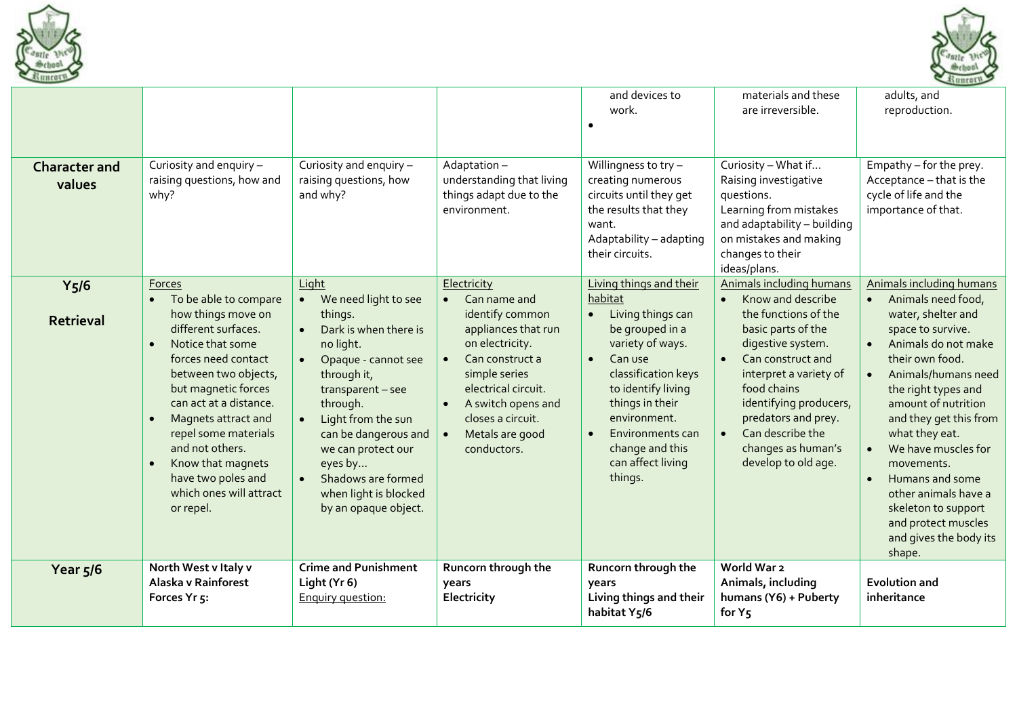



| <b>Character and</b><br>values        | Curiosity and enquiry -<br>raising questions, how and<br>why?                                                                                                                                                                                                                                                                                                      | Curiosity and enquiry -<br>raising questions, how<br>and why?                                                                                                                                                                                                                                               | Adaptation-<br>understanding that living<br>things adapt due to the<br>environment.                                                                                                                                                                                     | and devices to<br>work.<br>$\bullet$<br>Willingness to $try -$<br>creating numerous<br>circuits until they get<br>the results that they<br>want.<br>Adaptability - adapting<br>their circuits.                                                                                             | materials and these<br>are irreversible.<br>Curiosity - What if<br>Raising investigative<br>questions.<br>Learning from mistakes<br>and adaptability - building<br>on mistakes and making<br>changes to their<br>ideas/plans.                                                                                 | adults, and<br>reproduction.<br>Empathy - for the prey.<br>Acceptance - that is the<br>cycle of life and the<br>importance of that.                                                                                                                                                                                                                                                                                                                           |
|---------------------------------------|--------------------------------------------------------------------------------------------------------------------------------------------------------------------------------------------------------------------------------------------------------------------------------------------------------------------------------------------------------------------|-------------------------------------------------------------------------------------------------------------------------------------------------------------------------------------------------------------------------------------------------------------------------------------------------------------|-------------------------------------------------------------------------------------------------------------------------------------------------------------------------------------------------------------------------------------------------------------------------|--------------------------------------------------------------------------------------------------------------------------------------------------------------------------------------------------------------------------------------------------------------------------------------------|---------------------------------------------------------------------------------------------------------------------------------------------------------------------------------------------------------------------------------------------------------------------------------------------------------------|---------------------------------------------------------------------------------------------------------------------------------------------------------------------------------------------------------------------------------------------------------------------------------------------------------------------------------------------------------------------------------------------------------------------------------------------------------------|
| Y <sub>5</sub> /6<br><b>Retrieval</b> | Forces<br>To be able to compare<br>how things move on<br>different surfaces.<br>Notice that some<br>$\bullet$<br>forces need contact<br>between two objects,<br>but magnetic forces<br>can act at a distance.<br>Magnets attract and<br>repel some materials<br>and not others.<br>Know that magnets<br>have two poles and<br>which ones will attract<br>or repel. | Light<br>• We need light to see<br>things.<br>Dark is when there is<br>no light.<br>Opaque - cannot see<br>through it,<br>transparent-see<br>through.<br>Light from the sun<br>can be dangerous and<br>we can protect our<br>eyes by<br>Shadows are formed<br>when light is blocked<br>by an opaque object. | Electricity<br>Can name and<br>$\bullet$<br>identify common<br>appliances that run<br>on electricity.<br>Can construct a<br>$\bullet$<br>simple series<br>electrical circuit.<br>A switch opens and<br>$\bullet$<br>closes a circuit.<br>Metals are good<br>conductors. | Living things and their<br>habitat<br>Living things can<br>$\bullet$<br>be grouped in a<br>variety of ways.<br>Can use<br>$\bullet$<br>classification keys<br>to identify living<br>things in their<br>environment.<br>Environments can<br>change and this<br>can affect living<br>things. | Animals including humans<br>Know and describe<br>the functions of the<br>basic parts of the<br>digestive system.<br>Can construct and<br>interpret a variety of<br>food chains<br>identifying producers,<br>predators and prey.<br>Can describe the<br>$\bullet$<br>changes as human's<br>develop to old age. | Animals including humans<br>Animals need food,<br>water, shelter and<br>space to survive.<br>Animals do not make<br>$\bullet$<br>their own food.<br>Animals/humans need<br>$\bullet$<br>the right types and<br>amount of nutrition<br>and they get this from<br>what they eat.<br>We have muscles for<br>$\bullet$<br>movements.<br>Humans and some<br>other animals have a<br>skeleton to support<br>and protect muscles<br>and gives the body its<br>shape. |
| Year $5/6$                            | North West v Italy v<br>Alaska v Rainforest<br>Forces Yr 5:                                                                                                                                                                                                                                                                                                        | <b>Crime and Punishment</b><br>Light (Yr 6)<br>Enquiry question:                                                                                                                                                                                                                                            | Runcorn through the<br>years<br>Electricity                                                                                                                                                                                                                             | Runcorn through the<br>years<br>Living things and their<br>habitat Y <sub>5</sub> /6                                                                                                                                                                                                       | World War 2<br>Animals, including<br>humans (Y6) + Puberty<br>for Y <sub>5</sub>                                                                                                                                                                                                                              | <b>Evolution and</b><br>inheritance                                                                                                                                                                                                                                                                                                                                                                                                                           |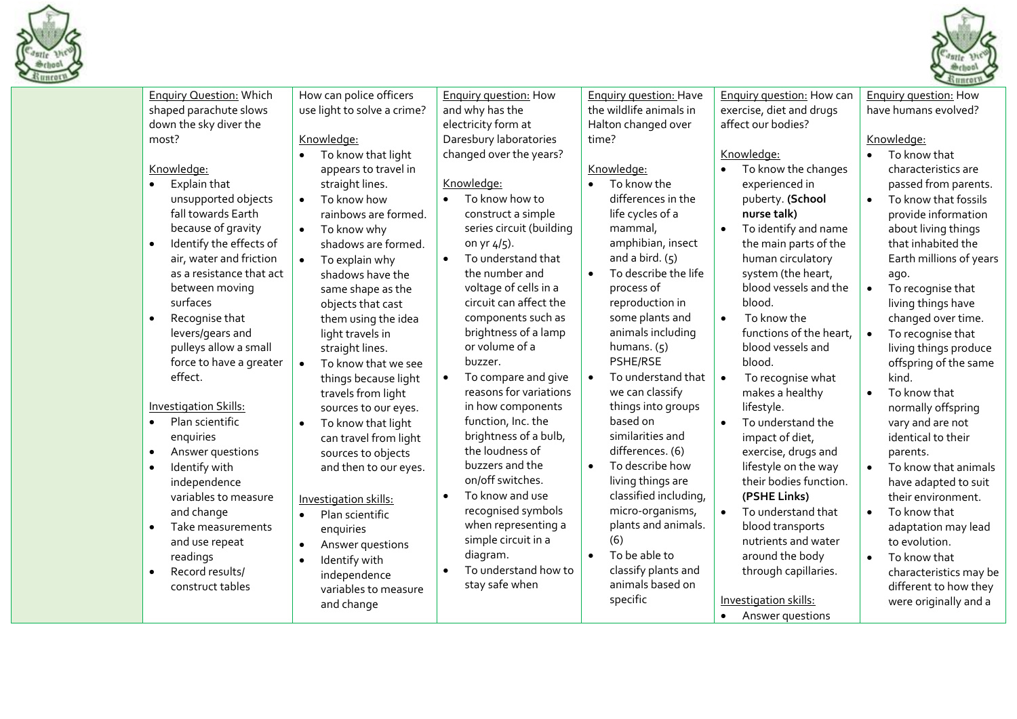



|                                      |                                  |                                 |                                   |                                   | $\frac{33}{23}$ lintory           |
|--------------------------------------|----------------------------------|---------------------------------|-----------------------------------|-----------------------------------|-----------------------------------|
| <b>Enquiry Question: Which</b>       | How can police officers          | <b>Enquiry question: How</b>    | <b>Enquiry question: Have</b>     | Enquiry question: How can         | Enquiry question: How             |
| shaped parachute slows               | use light to solve a crime?      | and why has the                 | the wildlife animals in           | exercise, diet and drugs          | have humans evolved?              |
| down the sky diver the               |                                  | electricity form at             | Halton changed over               | affect our bodies?                |                                   |
| most?                                | Knowledge:                       | Daresbury laboratories          | time?                             |                                   | Knowledge:                        |
|                                      | To know that light<br>$\bullet$  | changed over the years?         |                                   | Knowledge:                        | To know that<br>$\bullet$         |
| Knowledge:                           | appears to travel in             |                                 | Knowledge:                        | To know the changes               | characteristics are               |
| Explain that                         | straight lines.                  | Knowledge:                      | To know the<br>$\bullet$          | experienced in                    | passed from parents.              |
| unsupported objects                  | To know how<br>$\bullet$         | To know how to                  | differences in the                | puberty. (School                  | To know that fossils<br>$\bullet$ |
| fall towards Earth                   | rainbows are formed.             | construct a simple              | life cycles of a                  | nurse talk)                       | provide information               |
| because of gravity                   | To know why<br>$\bullet$         | series circuit (building        | mammal,                           | To identify and name<br>$\bullet$ | about living things               |
| Identify the effects of<br>$\bullet$ | shadows are formed.              | on yr 4/5).                     | amphibian, insect                 | the main parts of the             | that inhabited the                |
| air, water and friction              | To explain why                   | To understand that<br>$\bullet$ | and a bird. $(5)$                 | human circulatory                 | Earth millions of years           |
| as a resistance that act             | shadows have the                 | the number and                  | To describe the life<br>$\bullet$ | system (the heart,                | ago.                              |
| between moving                       | same shape as the                | voltage of cells in a           | process of                        | blood vessels and the             | To recognise that<br>$\bullet$    |
| surfaces                             | objects that cast                | circuit can affect the          | reproduction in                   | blood.                            | living things have                |
| Recognise that<br>$\bullet$          | them using the idea              | components such as              | some plants and                   | To know the<br>$\bullet$          | changed over time.                |
| levers/gears and                     | light travels in                 | brightness of a lamp            | animals including                 | functions of the heart,           | To recognise that<br>$\bullet$    |
| pulleys allow a small                | straight lines.                  | or volume of a                  | humans. $(5)$                     | blood vessels and                 | living things produce             |
| force to have a greater              | To know that we see<br>$\bullet$ | buzzer.                         | PSHE/RSE                          | blood.                            | offspring of the same             |
| effect.                              | things because light             | To compare and give             | To understand that<br>$\bullet$   | To recognise what<br>$\bullet$    | kind.                             |
|                                      | travels from light               | reasons for variations          | we can classify                   | makes a healthy                   | To know that<br>$\bullet$         |
| <b>Investigation Skills:</b>         | sources to our eyes.             | in how components               | things into groups                | lifestyle.                        | normally offspring                |
| Plan scientific<br>$\bullet$         | To know that light<br>$\bullet$  | function, Inc. the              | based on                          | To understand the                 | vary and are not                  |
| enquiries                            | can travel from light            | brightness of a bulb,           | similarities and                  | impact of diet,                   | identical to their                |
| Answer questions                     | sources to objects               | the loudness of                 | differences. (6)                  | exercise, drugs and               | parents.                          |
| Identify with                        | and then to our eyes.            | buzzers and the                 | To describe how                   | lifestyle on the way              | To know that animals              |
| independence                         |                                  | on/off switches.                | living things are                 | their bodies function.            | have adapted to suit              |
| variables to measure                 | Investigation skills:            | To know and use                 | classified including,             | (PSHE Links)                      | their environment.                |
| and change                           | Plan scientific<br>$\bullet$     | recognised symbols              | micro-organisms,                  | $\bullet$<br>To understand that   | To know that<br>$\bullet$         |
| Take measurements                    | enquiries                        | when representing a             | plants and animals.               | blood transports                  | adaptation may lead               |
| and use repeat                       | Answer questions<br>$\bullet$    | simple circuit in a             | (6)                               | nutrients and water               | to evolution.                     |
| readings                             | Identify with<br>$\bullet$       | diagram.                        | To be able to<br>$\bullet$        | around the body                   | To know that<br>$\bullet$         |
| Record results/                      | independence                     | To understand how to            | classify plants and               | through capillaries.              | characteristics may be            |
| construct tables                     | variables to measure             | stay safe when                  | animals based on                  |                                   | different to how they             |
|                                      | and change                       |                                 | specific                          | Investigation skills:             | were originally and a             |
|                                      |                                  |                                 |                                   | Answer questions                  |                                   |
|                                      |                                  |                                 |                                   |                                   |                                   |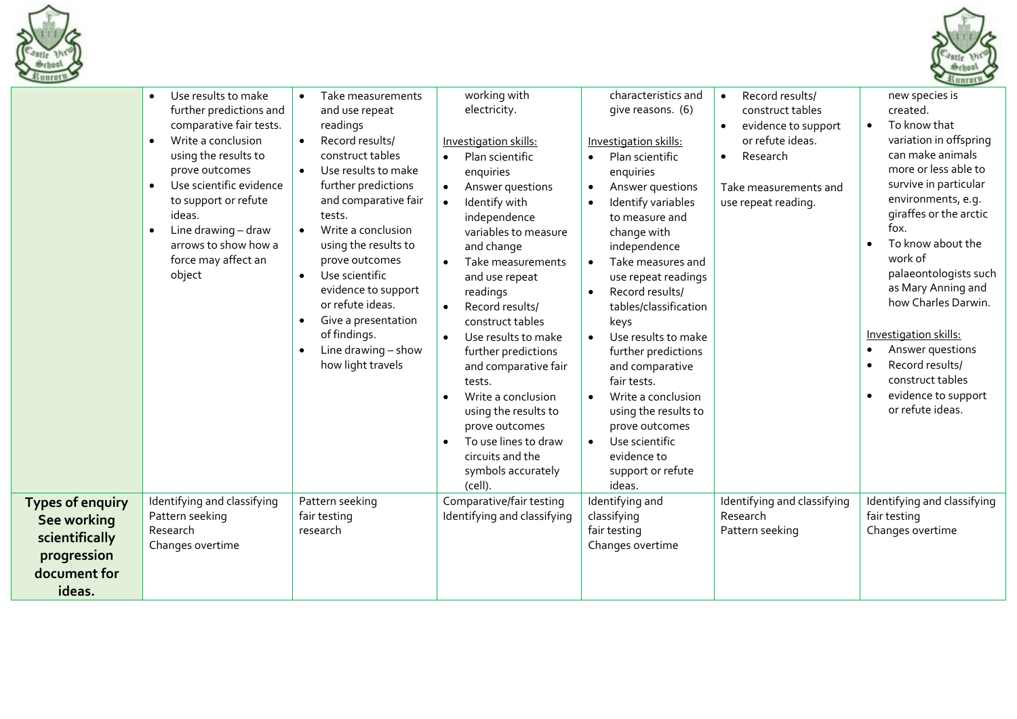



|                                                                                                   |                                                                                                                                                                                                                                                                                                                                            |                                                                                                                                                                                                                                                                                                                                                                                                                                            |                                                                                                                                                                                                                                                                                                                                                                                                                                                                                                                                                                                                    |                                                                                                                                                                                                                                                                                                                                                                                                                                                                                                                                                                                            |                                                                                                                                                                                   | $\sim$                                                                                                                                                                                                                                                                                                                                                                                                                                                                                                  |
|---------------------------------------------------------------------------------------------------|--------------------------------------------------------------------------------------------------------------------------------------------------------------------------------------------------------------------------------------------------------------------------------------------------------------------------------------------|--------------------------------------------------------------------------------------------------------------------------------------------------------------------------------------------------------------------------------------------------------------------------------------------------------------------------------------------------------------------------------------------------------------------------------------------|----------------------------------------------------------------------------------------------------------------------------------------------------------------------------------------------------------------------------------------------------------------------------------------------------------------------------------------------------------------------------------------------------------------------------------------------------------------------------------------------------------------------------------------------------------------------------------------------------|--------------------------------------------------------------------------------------------------------------------------------------------------------------------------------------------------------------------------------------------------------------------------------------------------------------------------------------------------------------------------------------------------------------------------------------------------------------------------------------------------------------------------------------------------------------------------------------------|-----------------------------------------------------------------------------------------------------------------------------------------------------------------------------------|---------------------------------------------------------------------------------------------------------------------------------------------------------------------------------------------------------------------------------------------------------------------------------------------------------------------------------------------------------------------------------------------------------------------------------------------------------------------------------------------------------|
|                                                                                                   | Use results to make<br>$\bullet$<br>further predictions and<br>comparative fair tests.<br>Write a conclusion<br>$\bullet$<br>using the results to<br>prove outcomes<br>Use scientific evidence<br>$\bullet$<br>to support or refute<br>ideas.<br>Line drawing - draw<br>$\bullet$<br>arrows to show how a<br>force may affect an<br>object | Take measurements<br>$\bullet$<br>and use repeat<br>readings<br>Record results/<br>$\bullet$<br>construct tables<br>Use results to make<br>$\bullet$<br>further predictions<br>and comparative fair<br>tests.<br>Write a conclusion<br>$\bullet$<br>using the results to<br>prove outcomes<br>Use scientific<br>evidence to support<br>or refute ideas.<br>Give a presentation<br>of findings.<br>Line drawing - show<br>how light travels | working with<br>electricity.<br>Investigation skills:<br>Plan scientific<br>$\bullet$<br>enquiries<br>Answer questions<br>Identify with<br>$\bullet$<br>independence<br>variables to measure<br>and change<br>Take measurements<br>$\bullet$<br>and use repeat<br>readings<br>Record results/<br>$\bullet$<br>construct tables<br>Use results to make<br>$\bullet$<br>further predictions<br>and comparative fair<br>tests.<br>Write a conclusion<br>$\bullet$<br>using the results to<br>prove outcomes<br>To use lines to draw<br>$\bullet$<br>circuits and the<br>symbols accurately<br>(cell). | characteristics and<br>qive reasons. (6)<br>Investigation skills:<br>Plan scientific<br>$\bullet$<br>enquiries<br>Answer questions<br>Identify variables<br>to measure and<br>change with<br>independence<br>Take measures and<br>$\bullet$<br>use repeat readings<br>Record results/<br>$\bullet$<br>tables/classification<br>keys<br>Use results to make<br>$\bullet$<br>further predictions<br>and comparative<br>fair tests.<br>Write a conclusion<br>$\bullet$<br>using the results to<br>prove outcomes<br>Use scientific<br>$\bullet$<br>evidence to<br>support or refute<br>ideas. | Record results/<br>$\bullet$<br>construct tables<br>evidence to support<br>$\bullet$<br>or refute ideas.<br>Research<br>$\bullet$<br>Take measurements and<br>use repeat reading. | new species is<br>created.<br>To know that<br>$\bullet$<br>variation in offspring<br>can make animals<br>more or less able to<br>survive in particular<br>environments, e.g.<br>giraffes or the arctic<br>fox.<br>To know about the<br>$\bullet$<br>work of<br>palaeontologists such<br>as Mary Anning and<br>how Charles Darwin.<br>Investigation skills:<br>Answer questions<br>$\bullet$<br>Record results/<br>$\bullet$<br>construct tables<br>evidence to support<br>$\bullet$<br>or refute ideas. |
| <b>Types of enquiry</b><br>See working<br>scientifically<br>progression<br>document for<br>ideas. | Identifying and classifying<br>Pattern seeking<br>Research<br>Changes overtime                                                                                                                                                                                                                                                             | Pattern seeking<br>fair testing<br>research                                                                                                                                                                                                                                                                                                                                                                                                | Comparative/fair testing<br>Identifying and classifying                                                                                                                                                                                                                                                                                                                                                                                                                                                                                                                                            | Identifying and<br>classifying<br>fair testing<br>Changes overtime                                                                                                                                                                                                                                                                                                                                                                                                                                                                                                                         | Identifying and classifying<br>Research<br>Pattern seeking                                                                                                                        | Identifying and classifying<br>fair testing<br>Changes overtime                                                                                                                                                                                                                                                                                                                                                                                                                                         |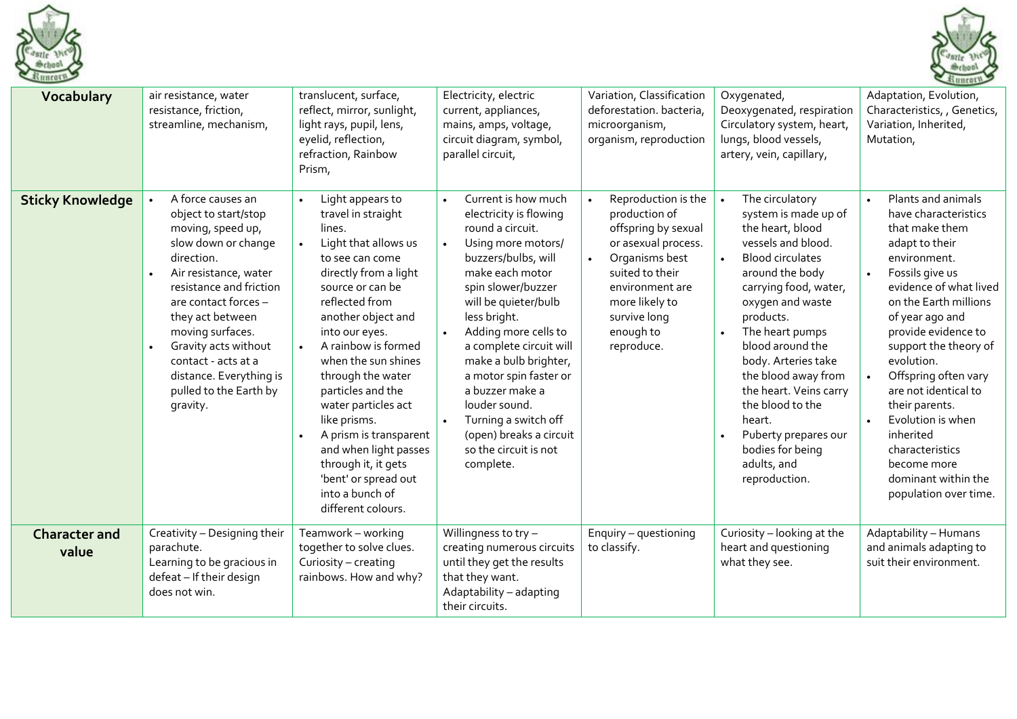



| Vocabulary                    | air resistance, water<br>resistance, friction,<br>streamline, mechanism,                                                                                                                                                                                                                                                                | translucent, surface,<br>reflect, mirror, sunlight,<br>light rays, pupil, lens,<br>eyelid, reflection,<br>refraction, Rainbow<br>Prism,                                                                                                                                                                                                                                                                                                                                      | Electricity, electric<br>current, appliances,<br>mains, amps, voltage,<br>circuit diagram, symbol,<br>parallel circuit,                                                                                                                                                                                                                                                                                                                         | Variation, Classification<br>deforestation. bacteria,<br>microorganism,<br>organism, reproduction                                                                                                       | Oxygenated,<br>Deoxygenated, respiration<br>Circulatory system, heart,<br>lungs, blood vessels,<br>artery, vein, capillary,                                                                                                                                                                                                                                                                                                     | Adaptation, Evolution,<br>Characteristics, , Genetics,<br>Variation, Inherited,<br>Mutation,                                                                                                                                                                                                                                                                                                                                                                          |
|-------------------------------|-----------------------------------------------------------------------------------------------------------------------------------------------------------------------------------------------------------------------------------------------------------------------------------------------------------------------------------------|------------------------------------------------------------------------------------------------------------------------------------------------------------------------------------------------------------------------------------------------------------------------------------------------------------------------------------------------------------------------------------------------------------------------------------------------------------------------------|-------------------------------------------------------------------------------------------------------------------------------------------------------------------------------------------------------------------------------------------------------------------------------------------------------------------------------------------------------------------------------------------------------------------------------------------------|---------------------------------------------------------------------------------------------------------------------------------------------------------------------------------------------------------|---------------------------------------------------------------------------------------------------------------------------------------------------------------------------------------------------------------------------------------------------------------------------------------------------------------------------------------------------------------------------------------------------------------------------------|-----------------------------------------------------------------------------------------------------------------------------------------------------------------------------------------------------------------------------------------------------------------------------------------------------------------------------------------------------------------------------------------------------------------------------------------------------------------------|
| <b>Sticky Knowledge</b>       | A force causes an<br>object to start/stop<br>moving, speed up,<br>slow down or change<br>direction.<br>Air resistance, water<br>resistance and friction<br>are contact forces -<br>they act between<br>moving surfaces.<br>Gravity acts without<br>contact - acts at a<br>distance. Everything is<br>pulled to the Earth by<br>gravity. | Light appears to<br>travel in straight<br>lines.<br>Light that allows us<br>to see can come<br>directly from a light<br>source or can be<br>reflected from<br>another object and<br>into our eyes.<br>A rainbow is formed<br>when the sun shines<br>through the water<br>particles and the<br>water particles act<br>like prisms.<br>A prism is transparent<br>and when light passes<br>through it, it gets<br>'bent' or spread out<br>into a bunch of<br>different colours. | Current is how much<br>electricity is flowing<br>round a circuit.<br>Using more motors/<br>$\bullet$<br>buzzers/bulbs, will<br>make each motor<br>spin slower/buzzer<br>will be quieter/bulb<br>less bright.<br>Adding more cells to<br>a complete circuit will<br>make a bulb brighter,<br>a motor spin faster or<br>a buzzer make a<br>louder sound.<br>Turning a switch off<br>(open) breaks a circuit<br>so the circuit is not<br>complete. | Reproduction is the<br>production of<br>offspring by sexual<br>or asexual process.<br>Organisms best<br>suited to their<br>environment are<br>more likely to<br>survive long<br>enough to<br>reproduce. | The circulatory<br>system is made up of<br>the heart, blood<br>vessels and blood.<br><b>Blood circulates</b><br>$\bullet$<br>around the body<br>carrying food, water,<br>oxygen and waste<br>products.<br>The heart pumps<br>blood around the<br>body. Arteries take<br>the blood away from<br>the heart. Veins carry<br>the blood to the<br>heart.<br>Puberty prepares our<br>bodies for being<br>adults, and<br>reproduction. | Plants and animals<br>$\bullet$<br>have characteristics<br>that make them<br>adapt to their<br>environment.<br>Fossils give us<br>$\bullet$<br>evidence of what lived<br>on the Earth millions<br>of year ago and<br>provide evidence to<br>support the theory of<br>evolution.<br>Offspring often vary<br>are not identical to<br>their parents.<br>Evolution is when<br>inherited<br>characteristics<br>become more<br>dominant within the<br>population over time. |
| <b>Character and</b><br>value | Creativity - Designing their<br>parachute.<br>Learning to be gracious in<br>defeat - If their design<br>does not win.                                                                                                                                                                                                                   | Teamwork - working<br>together to solve clues.<br>Curiosity - creating<br>rainbows. How and why?                                                                                                                                                                                                                                                                                                                                                                             | Willingness to try $-$<br>creating numerous circuits<br>until they get the results<br>that they want.<br>Adaptability - adapting<br>their circuits.                                                                                                                                                                                                                                                                                             | Enquiry - questioning<br>to classify.                                                                                                                                                                   | Curiosity - looking at the<br>heart and questioning<br>what they see.                                                                                                                                                                                                                                                                                                                                                           | Adaptability - Humans<br>and animals adapting to<br>suit their environment.                                                                                                                                                                                                                                                                                                                                                                                           |